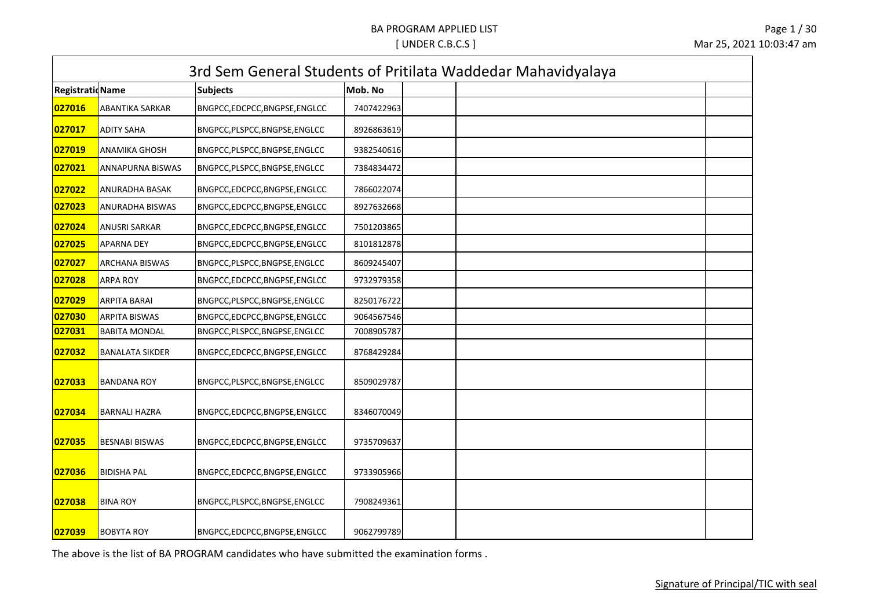|                        |                        | 3rd Sem General Students of Pritilata Waddedar Mahavidyalaya |            |  |  |  |
|------------------------|------------------------|--------------------------------------------------------------|------------|--|--|--|
| <b>RegistratioName</b> |                        | <b>Subjects</b>                                              | Mob. No    |  |  |  |
| 027016                 | ABANTIKA SARKAR        | BNGPCC,EDCPCC,BNGPSE,ENGLCC                                  | 7407422963 |  |  |  |
| 027017                 | <b>ADITY SAHA</b>      | BNGPCC, PLSPCC, BNGPSE, ENGLCC                               | 8926863619 |  |  |  |
| 027019                 | <b>ANAMIKA GHOSH</b>   | BNGPCC, PLSPCC, BNGPSE, ENGLCC                               | 9382540616 |  |  |  |
| 027021                 | ANNAPURNA BISWAS       | BNGPCC, PLSPCC, BNGPSE, ENGLCC                               | 7384834472 |  |  |  |
| 027022                 | ANURADHA BASAK         | BNGPCC,EDCPCC,BNGPSE,ENGLCC                                  | 7866022074 |  |  |  |
| 027023                 | ANURADHA BISWAS        | BNGPCC,EDCPCC,BNGPSE,ENGLCC                                  | 8927632668 |  |  |  |
| 027024                 | <b>ANUSRI SARKAR</b>   | BNGPCC,EDCPCC,BNGPSE,ENGLCC                                  | 7501203865 |  |  |  |
| 027025                 | <b>APARNA DEY</b>      | BNGPCC,EDCPCC,BNGPSE,ENGLCC                                  | 8101812878 |  |  |  |
| 027027                 | ARCHANA BISWAS         | BNGPCC, PLSPCC, BNGPSE, ENGLCC                               | 8609245407 |  |  |  |
| 027028                 | <b>ARPA ROY</b>        | BNGPCC,EDCPCC,BNGPSE,ENGLCC                                  | 9732979358 |  |  |  |
| 027029                 | <b>ARPITA BARAI</b>    | BNGPCC, PLSPCC, BNGPSE, ENGLCC                               | 8250176722 |  |  |  |
| 027030                 | <b>ARPITA BISWAS</b>   | BNGPCC,EDCPCC,BNGPSE,ENGLCC                                  | 9064567546 |  |  |  |
| 027031                 | <b>BABITA MONDAL</b>   | BNGPCC, PLSPCC, BNGPSE, ENGLCC                               | 7008905787 |  |  |  |
| 027032                 | <b>BANALATA SIKDER</b> | BNGPCC,EDCPCC,BNGPSE,ENGLCC                                  | 8768429284 |  |  |  |
| 027033                 | <b>BANDANA ROY</b>     | BNGPCC,PLSPCC,BNGPSE,ENGLCC                                  | 8509029787 |  |  |  |
| 027034                 | <b>BARNALI HAZRA</b>   | BNGPCC,EDCPCC,BNGPSE,ENGLCC                                  | 8346070049 |  |  |  |
| 027035                 | <b>BESNABI BISWAS</b>  | BNGPCC,EDCPCC,BNGPSE,ENGLCC                                  | 9735709637 |  |  |  |
| 027036                 | <b>BIDISHA PAL</b>     | BNGPCC,EDCPCC,BNGPSE,ENGLCC                                  | 9733905966 |  |  |  |
| 027038                 | <b>BINA ROY</b>        | BNGPCC, PLSPCC, BNGPSE, ENGLCC                               | 7908249361 |  |  |  |
| 027039                 | <b>BOBYTA ROY</b>      | BNGPCC,EDCPCC,BNGPSE,ENGLCC                                  | 9062799789 |  |  |  |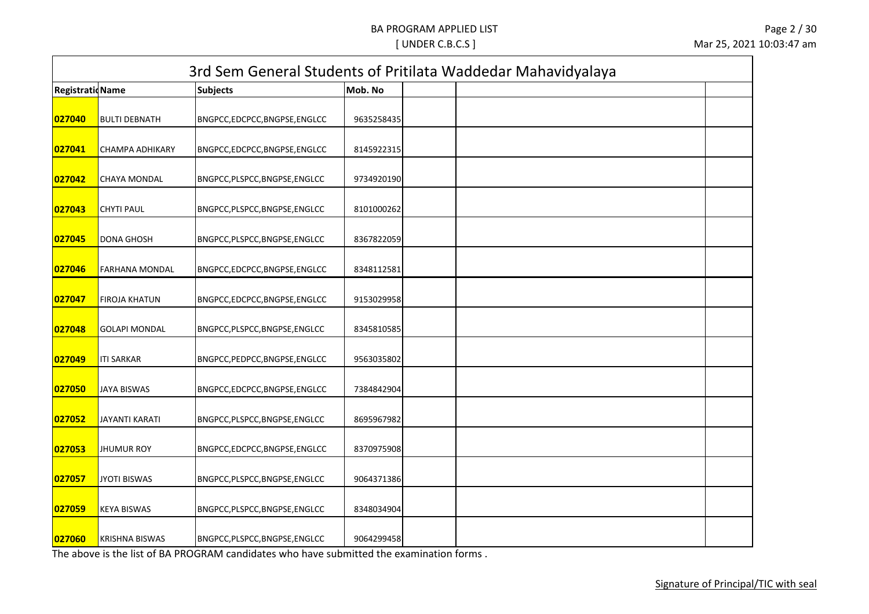|                         |                       |                                |            | 3rd Sem General Students of Pritilata Waddedar Mahavidyalaya |
|-------------------------|-----------------------|--------------------------------|------------|--------------------------------------------------------------|
| <b>Registratid Name</b> |                       | <b>Subjects</b>                | Mob. No    |                                                              |
| 027040                  | <b>BULTI DEBNATH</b>  | BNGPCC,EDCPCC,BNGPSE,ENGLCC    | 9635258435 |                                                              |
| 027041                  | CHAMPA ADHIKARY       | BNGPCC,EDCPCC,BNGPSE,ENGLCC    | 8145922315 |                                                              |
| 027042                  | <b>CHAYA MONDAL</b>   | BNGPCC,PLSPCC,BNGPSE,ENGLCC    | 9734920190 |                                                              |
| 027043                  | <b>CHYTI PAUL</b>     | BNGPCC, PLSPCC, BNGPSE, ENGLCC | 8101000262 |                                                              |
| 027045                  | <b>DONA GHOSH</b>     | BNGPCC, PLSPCC, BNGPSE, ENGLCC | 8367822059 |                                                              |
| 027046                  | <b>FARHANA MONDAL</b> | BNGPCC,EDCPCC,BNGPSE,ENGLCC    | 8348112581 |                                                              |
| 027047                  | <b>FIROJA KHATUN</b>  | BNGPCC,EDCPCC,BNGPSE,ENGLCC    | 9153029958 |                                                              |
| 027048                  | <b>GOLAPI MONDAL</b>  | BNGPCC, PLSPCC, BNGPSE, ENGLCC | 8345810585 |                                                              |
| 027049                  | <b>ITI SARKAR</b>     | BNGPCC, PEDPCC, BNGPSE, ENGLCC | 9563035802 |                                                              |
| 027050                  | <b>JAYA BISWAS</b>    | BNGPCC,EDCPCC,BNGPSE,ENGLCC    | 7384842904 |                                                              |
| 027052                  | JAYANTI KARATI        | BNGPCC, PLSPCC, BNGPSE, ENGLCC | 8695967982 |                                                              |
| 027053                  | <b>JHUMUR ROY</b>     | BNGPCC,EDCPCC,BNGPSE,ENGLCC    | 8370975908 |                                                              |
| 027057                  | <b>JYOTI BISWAS</b>   | BNGPCC, PLSPCC, BNGPSE, ENGLCC | 9064371386 |                                                              |
| 027059                  | <b>KEYA BISWAS</b>    | BNGPCC, PLSPCC, BNGPSE, ENGLCC | 8348034904 |                                                              |
| 027060                  | <b>KRISHNA BISWAS</b> | BNGPCC, PLSPCC, BNGPSE, ENGLCC | 9064299458 |                                                              |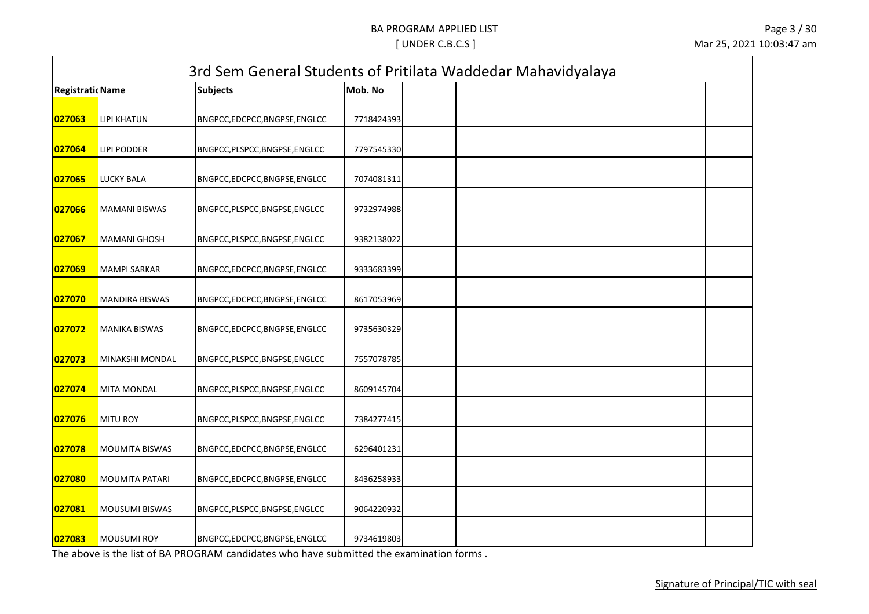|                        |                        |                                |            | 3rd Sem General Students of Pritilata Waddedar Mahavidyalaya |
|------------------------|------------------------|--------------------------------|------------|--------------------------------------------------------------|
| <b>RegistratioName</b> |                        | <b>Subjects</b>                | Mob. No    |                                                              |
| 027063                 | <b>LIPI KHATUN</b>     | BNGPCC,EDCPCC,BNGPSE,ENGLCC    | 7718424393 |                                                              |
| 027064                 | <b>LIPI PODDER</b>     | BNGPCC, PLSPCC, BNGPSE, ENGLCC | 7797545330 |                                                              |
| 027065                 | <b>LUCKY BALA</b>      | BNGPCC,EDCPCC,BNGPSE,ENGLCC    | 7074081311 |                                                              |
| 027066                 | <b>MAMANI BISWAS</b>   | BNGPCC,PLSPCC,BNGPSE,ENGLCC    | 9732974988 |                                                              |
| 027067                 | <b>MAMANI GHOSH</b>    | BNGPCC, PLSPCC, BNGPSE, ENGLCC | 9382138022 |                                                              |
| 027069                 | <b>MAMPI SARKAR</b>    | BNGPCC,EDCPCC,BNGPSE,ENGLCC    | 9333683399 |                                                              |
| 027070                 | <b>MANDIRA BISWAS</b>  | BNGPCC,EDCPCC,BNGPSE,ENGLCC    | 8617053969 |                                                              |
| 027072                 | <b>MANIKA BISWAS</b>   | BNGPCC,EDCPCC,BNGPSE,ENGLCC    | 9735630329 |                                                              |
| 027073                 | <b>MINAKSHI MONDAL</b> | BNGPCC, PLSPCC, BNGPSE, ENGLCC | 7557078785 |                                                              |
| 027074                 | <b>MITA MONDAL</b>     | BNGPCC, PLSPCC, BNGPSE, ENGLCC | 8609145704 |                                                              |
| 027076                 | MITU ROY               | BNGPCC, PLSPCC, BNGPSE, ENGLCC | 7384277415 |                                                              |
| 027078                 | <b>MOUMITA BISWAS</b>  | BNGPCC,EDCPCC,BNGPSE,ENGLCC    | 6296401231 |                                                              |
| 027080                 | MOUMITA PATARI         | BNGPCC,EDCPCC,BNGPSE,ENGLCC    | 8436258933 |                                                              |
| 027081                 | MOUSUMI BISWAS         | BNGPCC, PLSPCC, BNGPSE, ENGLCC | 9064220932 |                                                              |
| 027083                 | <b>MOUSUMI ROY</b>     | BNGPCC,EDCPCC,BNGPSE,ENGLCC    | 9734619803 |                                                              |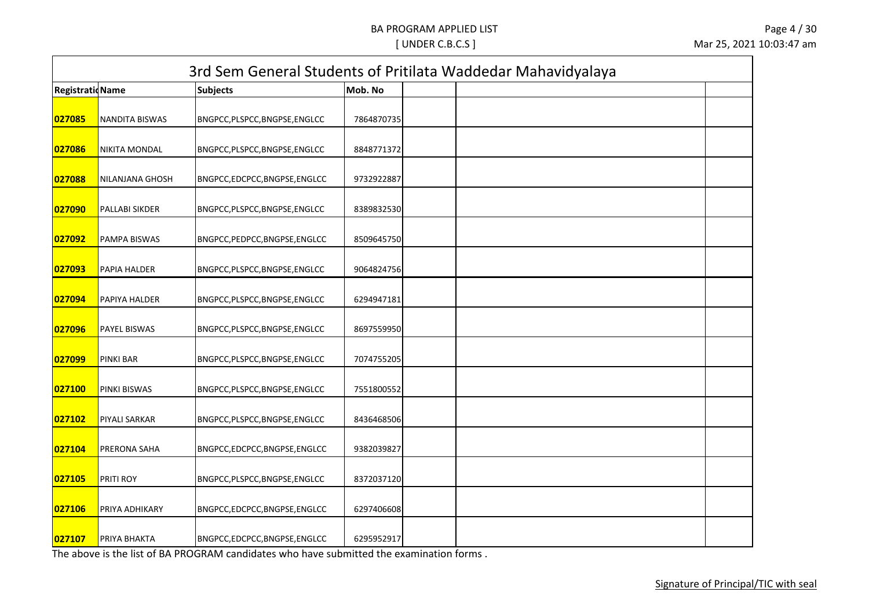|                         |                       |                                |            | 3rd Sem General Students of Pritilata Waddedar Mahavidyalaya |
|-------------------------|-----------------------|--------------------------------|------------|--------------------------------------------------------------|
| <b>Registratid Name</b> |                       | <b>Subjects</b>                | Mob. No    |                                                              |
| 027085                  | <b>NANDITA BISWAS</b> | BNGPCC, PLSPCC, BNGPSE, ENGLCC | 7864870735 |                                                              |
| 027086                  | NIKITA MONDAL         | BNGPCC, PLSPCC, BNGPSE, ENGLCC | 8848771372 |                                                              |
| 027088                  | NILANJANA GHOSH       | BNGPCC,EDCPCC,BNGPSE,ENGLCC    | 9732922887 |                                                              |
| 027090                  | PALLABI SIKDER        | BNGPCC, PLSPCC, BNGPSE, ENGLCC | 8389832530 |                                                              |
| 027092                  | PAMPA BISWAS          | BNGPCC, PEDPCC, BNGPSE, ENGLCC | 8509645750 |                                                              |
| 027093                  | PAPIA HALDER          | BNGPCC, PLSPCC, BNGPSE, ENGLCC | 9064824756 |                                                              |
| 027094                  | PAPIYA HALDER         | BNGPCC, PLSPCC, BNGPSE, ENGLCC | 6294947181 |                                                              |
| 027096                  | PAYEL BISWAS          | BNGPCC, PLSPCC, BNGPSE, ENGLCC | 8697559950 |                                                              |
| 027099                  | PINKI BAR             | BNGPCC, PLSPCC, BNGPSE, ENGLCC | 7074755205 |                                                              |
| 027100                  | PINKI BISWAS          | BNGPCC, PLSPCC, BNGPSE, ENGLCC | 7551800552 |                                                              |
| 027102                  | PIYALI SARKAR         | BNGPCC, PLSPCC, BNGPSE, ENGLCC | 8436468506 |                                                              |
| 027104                  | PRERONA SAHA          | BNGPCC,EDCPCC,BNGPSE,ENGLCC    | 9382039827 |                                                              |
| 027105                  | PRITI ROY             | BNGPCC,PLSPCC,BNGPSE,ENGLCC    | 8372037120 |                                                              |
| 027106                  | PRIYA ADHIKARY        | BNGPCC,EDCPCC,BNGPSE,ENGLCC    | 6297406608 |                                                              |
| 027107                  | PRIYA BHAKTA          | BNGPCC,EDCPCC,BNGPSE,ENGLCC    | 6295952917 |                                                              |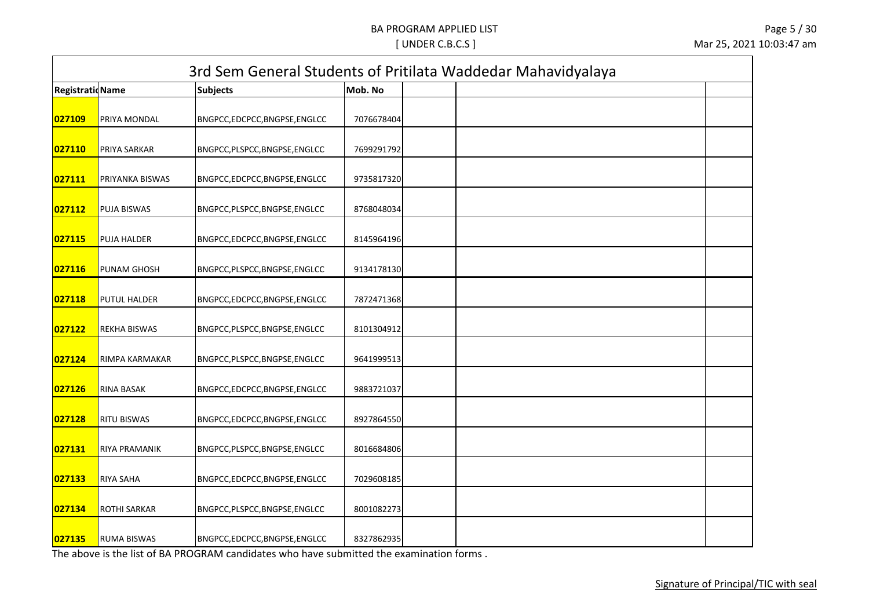| <b>Registratid Name</b> |                     | <b>Subjects</b>                | Mob. No    | 3rd Sem General Students of Pritilata Waddedar Mahavidyalaya |  |
|-------------------------|---------------------|--------------------------------|------------|--------------------------------------------------------------|--|
|                         |                     |                                |            |                                                              |  |
| 027109                  | PRIYA MONDAL        | BNGPCC,EDCPCC,BNGPSE,ENGLCC    | 7076678404 |                                                              |  |
|                         |                     |                                |            |                                                              |  |
| 027110                  | PRIYA SARKAR        | BNGPCC, PLSPCC, BNGPSE, ENGLCC | 7699291792 |                                                              |  |
| 027111                  | PRIYANKA BISWAS     | BNGPCC,EDCPCC,BNGPSE,ENGLCC    | 9735817320 |                                                              |  |
| 027112                  | <b>PUJA BISWAS</b>  | BNGPCC, PLSPCC, BNGPSE, ENGLCC | 8768048034 |                                                              |  |
| 027115                  | <b>PUJA HALDER</b>  | BNGPCC,EDCPCC,BNGPSE,ENGLCC    | 8145964196 |                                                              |  |
| 027116                  | PUNAM GHOSH         | BNGPCC, PLSPCC, BNGPSE, ENGLCC | 9134178130 |                                                              |  |
| 027118                  | <b>PUTUL HALDER</b> | BNGPCC,EDCPCC,BNGPSE,ENGLCC    | 7872471368 |                                                              |  |
| 027122                  | <b>REKHA BISWAS</b> | BNGPCC, PLSPCC, BNGPSE, ENGLCC | 8101304912 |                                                              |  |
| 027124                  | RIMPA KARMAKAR      | BNGPCC, PLSPCC, BNGPSE, ENGLCC | 9641999513 |                                                              |  |
| 027126                  | RINA BASAK          | BNGPCC,EDCPCC,BNGPSE,ENGLCC    | 9883721037 |                                                              |  |
| 027128                  | <b>RITU BISWAS</b>  | BNGPCC,EDCPCC,BNGPSE,ENGLCC    | 8927864550 |                                                              |  |
| 027131                  | RIYA PRAMANIK       | BNGPCC,PLSPCC,BNGPSE,ENGLCC    | 8016684806 |                                                              |  |
| 027133                  | RIYA SAHA           | BNGPCC,EDCPCC,BNGPSE,ENGLCC    | 7029608185 |                                                              |  |
| 027134                  | ROTHI SARKAR        | BNGPCC, PLSPCC, BNGPSE, ENGLCC | 8001082273 |                                                              |  |
| 027135                  | <b>RUMA BISWAS</b>  | BNGPCC,EDCPCC,BNGPSE,ENGLCC    | 8327862935 |                                                              |  |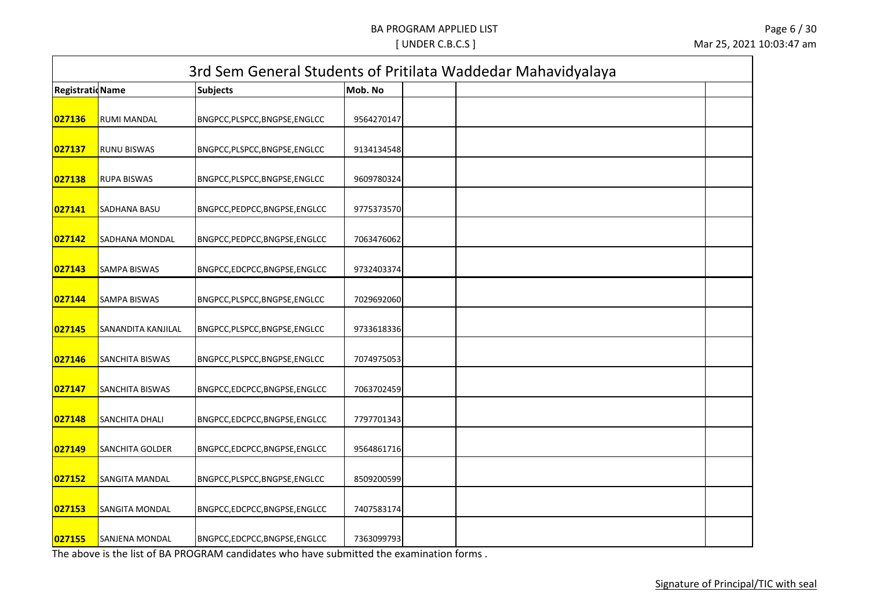|                         |                        |                                |            | 3rd Sem General Students of Pritilata Waddedar Mahavidyalaya |  |
|-------------------------|------------------------|--------------------------------|------------|--------------------------------------------------------------|--|
| <b>Registratid Name</b> |                        | <b>Subjects</b>                | Mob. No    |                                                              |  |
| 027136                  | RUMI MANDAL            | BNGPCC, PLSPCC, BNGPSE, ENGLCC | 9564270147 |                                                              |  |
| 027137                  | <b>RUNU BISWAS</b>     | BNGPCC, PLSPCC, BNGPSE, ENGLCC | 9134134548 |                                                              |  |
| 027138                  | <b>RUPA BISWAS</b>     | BNGPCC, PLSPCC, BNGPSE, ENGLCC | 9609780324 |                                                              |  |
| 027141                  | SADHANA BASU           | BNGPCC, PEDPCC, BNGPSE, ENGLCC | 9775373570 |                                                              |  |
| 027142                  | <b>SADHANA MONDAL</b>  | BNGPCC, PEDPCC, BNGPSE, ENGLCC | 7063476062 |                                                              |  |
| 027143                  | SAMPA BISWAS           | BNGPCC,EDCPCC,BNGPSE,ENGLCC    | 9732403374 |                                                              |  |
| 027144                  | <b>SAMPA BISWAS</b>    | BNGPCC, PLSPCC, BNGPSE, ENGLCC | 7029692060 |                                                              |  |
| 027145                  | SANANDITA KANJILAL     | BNGPCC, PLSPCC, BNGPSE, ENGLCC | 9733618336 |                                                              |  |
| 027146                  | <b>SANCHITA BISWAS</b> | BNGPCC, PLSPCC, BNGPSE, ENGLCC | 7074975053 |                                                              |  |
| 027147                  | SANCHITA BISWAS        | BNGPCC,EDCPCC,BNGPSE,ENGLCC    | 7063702459 |                                                              |  |
| 027148                  | SANCHITA DHALI         | BNGPCC,EDCPCC,BNGPSE,ENGLCC    | 7797701343 |                                                              |  |
| 027149                  | SANCHITA GOLDER        | BNGPCC,EDCPCC,BNGPSE,ENGLCC    | 9564861716 |                                                              |  |
| 027152                  | SANGITA MANDAL         | BNGPCC, PLSPCC, BNGPSE, ENGLCC | 8509200599 |                                                              |  |
| 027153                  | <b>SANGITA MONDAL</b>  | BNGPCC,EDCPCC,BNGPSE,ENGLCC    | 7407583174 |                                                              |  |
| 027155                  | SANJENA MONDAL         | BNGPCC,EDCPCC,BNGPSE,ENGLCC    | 7363099793 |                                                              |  |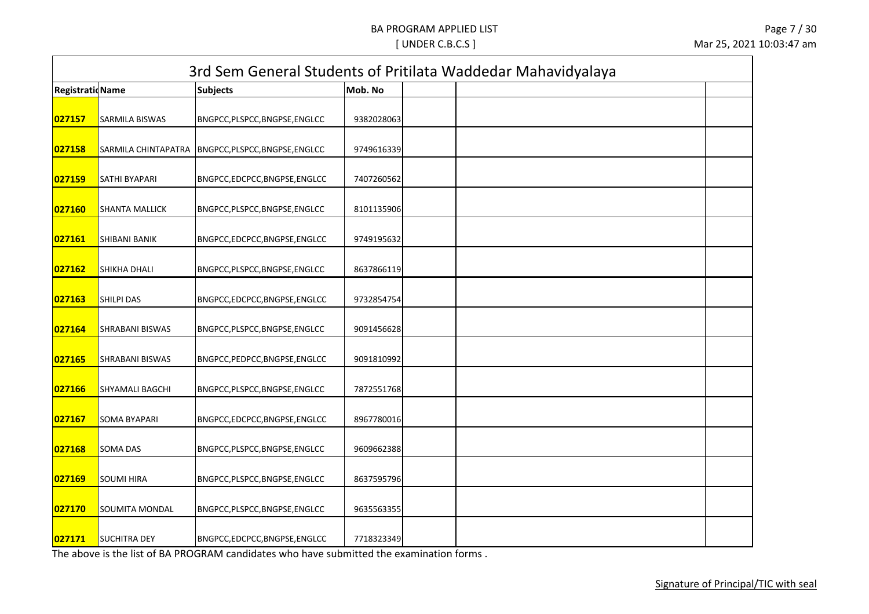| <b>RegistratioName</b> |                        | <b>Subjects</b>                | Mob. No    | 3rd Sem General Students of Pritilata Waddedar Mahavidyalaya |
|------------------------|------------------------|--------------------------------|------------|--------------------------------------------------------------|
|                        |                        |                                |            |                                                              |
| 027157                 | SARMILA BISWAS         | BNGPCC, PLSPCC, BNGPSE, ENGLCC | 9382028063 |                                                              |
| 027158                 | SARMILA CHINTAPATRA    | BNGPCC, PLSPCC, BNGPSE, ENGLCC | 9749616339 |                                                              |
| 027159                 | SATHI BYAPARI          | BNGPCC,EDCPCC,BNGPSE,ENGLCC    | 7407260562 |                                                              |
| 027160                 | SHANTA MALLICK         | BNGPCC, PLSPCC, BNGPSE, ENGLCC | 8101135906 |                                                              |
| 027161                 | <b>SHIBANI BANIK</b>   | BNGPCC,EDCPCC,BNGPSE,ENGLCC    | 9749195632 |                                                              |
| 027162                 | SHIKHA DHALI           | BNGPCC, PLSPCC, BNGPSE, ENGLCC | 8637866119 |                                                              |
| 027163                 | <b>SHILPI DAS</b>      | BNGPCC,EDCPCC,BNGPSE,ENGLCC    | 9732854754 |                                                              |
| 027164                 | SHRABANI BISWAS        | BNGPCC, PLSPCC, BNGPSE, ENGLCC | 9091456628 |                                                              |
| 027165                 | SHRABANI BISWAS        | BNGPCC, PEDPCC, BNGPSE, ENGLCC | 9091810992 |                                                              |
| 027166                 | <b>SHYAMALI BAGCHI</b> | BNGPCC, PLSPCC, BNGPSE, ENGLCC | 7872551768 |                                                              |
| 027167                 | <b>SOMA BYAPARI</b>    | BNGPCC,EDCPCC,BNGPSE,ENGLCC    | 8967780016 |                                                              |
| 027168                 | <b>SOMA DAS</b>        | BNGPCC, PLSPCC, BNGPSE, ENGLCC | 9609662388 |                                                              |
| 027169                 | <b>SOUMI HIRA</b>      | BNGPCC, PLSPCC, BNGPSE, ENGLCC | 8637595796 |                                                              |
| 027170                 | SOUMITA MONDAL         | BNGPCC, PLSPCC, BNGPSE, ENGLCC | 9635563355 |                                                              |
| 027171                 | <b>SUCHITRA DEY</b>    | BNGPCC,EDCPCC,BNGPSE,ENGLCC    | 7718323349 |                                                              |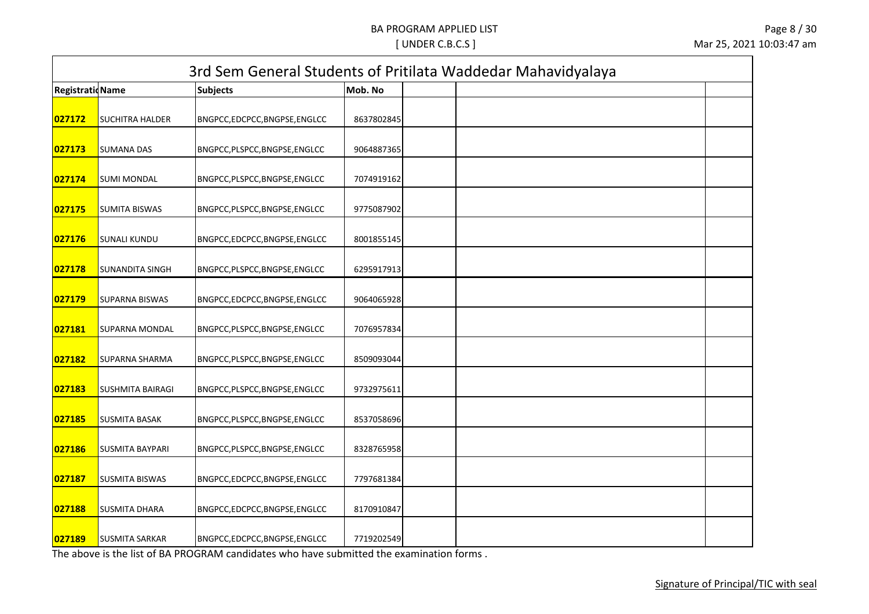|                         |                         |                                |            | 3rd Sem General Students of Pritilata Waddedar Mahavidyalaya |  |
|-------------------------|-------------------------|--------------------------------|------------|--------------------------------------------------------------|--|
| <b>Registratid Name</b> |                         | <b>Subjects</b>                | Mob. No    |                                                              |  |
| 027172                  | <b>SUCHITRA HALDER</b>  | BNGPCC,EDCPCC,BNGPSE,ENGLCC    | 8637802845 |                                                              |  |
| 027173                  | <b>SUMANA DAS</b>       | BNGPCC, PLSPCC, BNGPSE, ENGLCC | 9064887365 |                                                              |  |
| 027174                  | <b>SUMI MONDAL</b>      | BNGPCC, PLSPCC, BNGPSE, ENGLCC | 7074919162 |                                                              |  |
| 027175                  | <b>SUMITA BISWAS</b>    | BNGPCC, PLSPCC, BNGPSE, ENGLCC | 9775087902 |                                                              |  |
| 027176                  | <b>SUNALI KUNDU</b>     | BNGPCC,EDCPCC,BNGPSE,ENGLCC    | 8001855145 |                                                              |  |
| 027178                  | <b>SUNANDITA SINGH</b>  | BNGPCC, PLSPCC, BNGPSE, ENGLCC | 6295917913 |                                                              |  |
| 027179                  | <b>SUPARNA BISWAS</b>   | BNGPCC,EDCPCC,BNGPSE,ENGLCC    | 9064065928 |                                                              |  |
| 027181                  | SUPARNA MONDAL          | BNGPCC, PLSPCC, BNGPSE, ENGLCC | 7076957834 |                                                              |  |
| 027182                  | <b>SUPARNA SHARMA</b>   | BNGPCC, PLSPCC, BNGPSE, ENGLCC | 8509093044 |                                                              |  |
| 027183                  | <b>SUSHMITA BAIRAGI</b> | BNGPCC, PLSPCC, BNGPSE, ENGLCC | 9732975611 |                                                              |  |
| 027185                  | <b>SUSMITA BASAK</b>    | BNGPCC, PLSPCC, BNGPSE, ENGLCC | 8537058696 |                                                              |  |
| 027186                  | <b>SUSMITA BAYPARI</b>  | BNGPCC, PLSPCC, BNGPSE, ENGLCC | 8328765958 |                                                              |  |
| 027187                  | <b>SUSMITA BISWAS</b>   | BNGPCC,EDCPCC,BNGPSE,ENGLCC    | 7797681384 |                                                              |  |
| 027188                  | <b>SUSMITA DHARA</b>    | BNGPCC,EDCPCC,BNGPSE,ENGLCC    | 8170910847 |                                                              |  |
| 027189                  | <b>SUSMITA SARKAR</b>   | BNGPCC,EDCPCC,BNGPSE,ENGLCC    | 7719202549 |                                                              |  |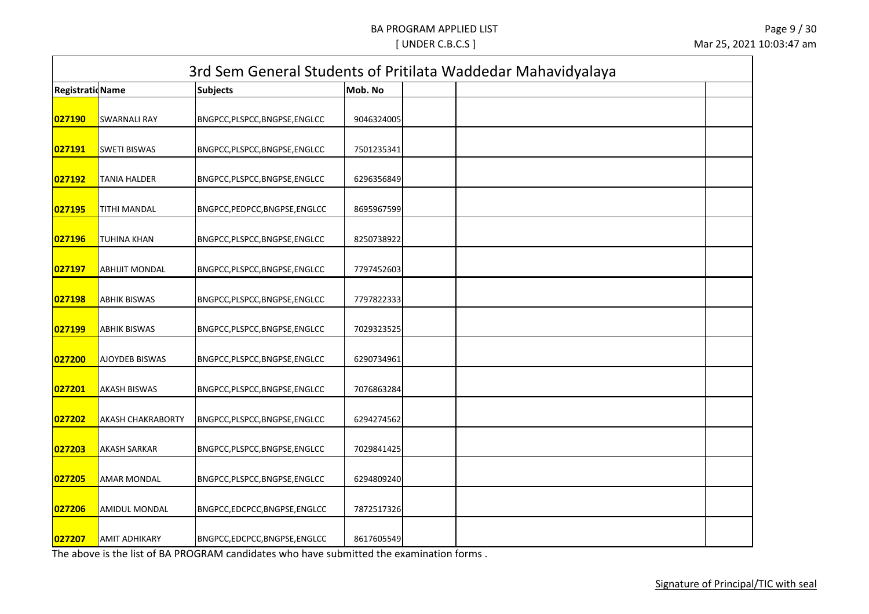|                         |                          |                                |            | 3rd Sem General Students of Pritilata Waddedar Mahavidyalaya |
|-------------------------|--------------------------|--------------------------------|------------|--------------------------------------------------------------|
| <b>Registratid Name</b> |                          | <b>Subjects</b>                | Mob. No    |                                                              |
| 027190                  | <b>SWARNALI RAY</b>      | BNGPCC, PLSPCC, BNGPSE, ENGLCC | 9046324005 |                                                              |
| 027191                  | <b>SWETI BISWAS</b>      | BNGPCC, PLSPCC, BNGPSE, ENGLCC | 7501235341 |                                                              |
| 027192                  | <b>TANIA HALDER</b>      | BNGPCC, PLSPCC, BNGPSE, ENGLCC | 6296356849 |                                                              |
| 027195                  | TITHI MANDAL             | BNGPCC, PEDPCC, BNGPSE, ENGLCC | 8695967599 |                                                              |
| 027196                  | <b>TUHINA KHAN</b>       | BNGPCC, PLSPCC, BNGPSE, ENGLCC | 8250738922 |                                                              |
| 027197                  | <b>ABHIJIT MONDAL</b>    | BNGPCC, PLSPCC, BNGPSE, ENGLCC | 7797452603 |                                                              |
| 027198                  | <b>ABHIK BISWAS</b>      | BNGPCC, PLSPCC, BNGPSE, ENGLCC | 7797822333 |                                                              |
| 027199                  | <b>ABHIK BISWAS</b>      | BNGPCC, PLSPCC, BNGPSE, ENGLCC | 7029323525 |                                                              |
| 027200                  | <b>AJOYDEB BISWAS</b>    | BNGPCC, PLSPCC, BNGPSE, ENGLCC | 6290734961 |                                                              |
| 027201                  | <b>AKASH BISWAS</b>      | BNGPCC, PLSPCC, BNGPSE, ENGLCC | 7076863284 |                                                              |
| 027202                  | <b>AKASH CHAKRABORTY</b> | BNGPCC, PLSPCC, BNGPSE, ENGLCC | 6294274562 |                                                              |
| 027203                  | <b>AKASH SARKAR</b>      | BNGPCC,PLSPCC,BNGPSE,ENGLCC    | 7029841425 |                                                              |
| 027205                  | <b>AMAR MONDAL</b>       | BNGPCC, PLSPCC, BNGPSE, ENGLCC | 6294809240 |                                                              |
| 027206                  | <b>AMIDUL MONDAL</b>     | BNGPCC,EDCPCC,BNGPSE,ENGLCC    | 7872517326 |                                                              |
| 027207                  | <b>AMIT ADHIKARY</b>     | BNGPCC,EDCPCC,BNGPSE,ENGLCC    | 8617605549 |                                                              |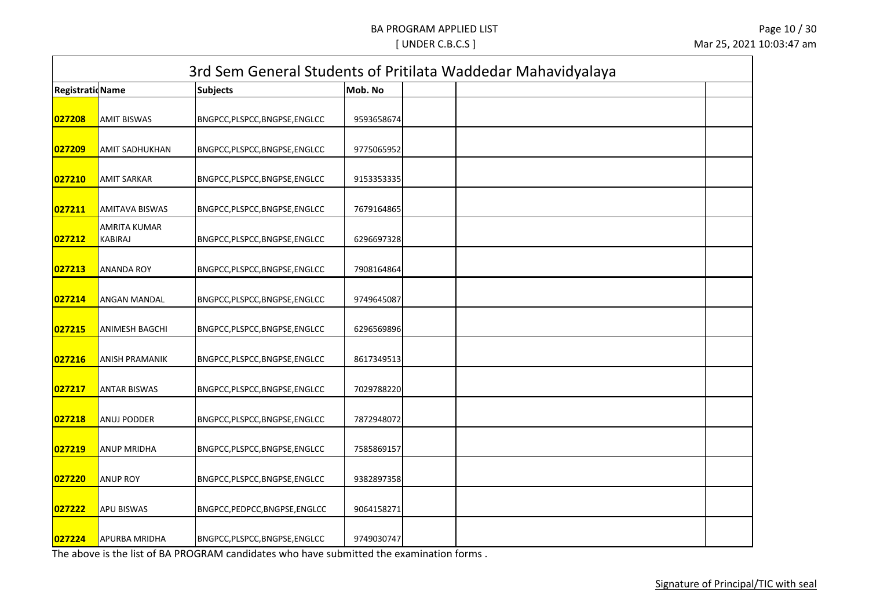| <b>RegistratioName</b> |                                | <b>Subjects</b>                | Mob. No    |  |
|------------------------|--------------------------------|--------------------------------|------------|--|
| 027208                 | <b>AMIT BISWAS</b>             | BNGPCC,PLSPCC,BNGPSE,ENGLCC    | 9593658674 |  |
| 027209                 | AMIT SADHUKHAN                 | BNGPCC, PLSPCC, BNGPSE, ENGLCC | 9775065952 |  |
| 027210                 | <b>AMIT SARKAR</b>             | BNGPCC,PLSPCC,BNGPSE,ENGLCC    | 9153353335 |  |
| 027211                 | AMITAVA BISWAS                 | BNGPCC, PLSPCC, BNGPSE, ENGLCC | 7679164865 |  |
| 027212                 | AMRITA KUMAR<br><b>KABIRAJ</b> | BNGPCC, PLSPCC, BNGPSE, ENGLCC | 6296697328 |  |
| 027213                 | ANANDA ROY                     | BNGPCC, PLSPCC, BNGPSE, ENGLCC | 7908164864 |  |
| 027214                 | ANGAN MANDAL                   | BNGPCC, PLSPCC, BNGPSE, ENGLCC | 9749645087 |  |
| 027215                 | <b>ANIMESH BAGCHI</b>          | BNGPCC, PLSPCC, BNGPSE, ENGLCC | 6296569896 |  |
| 027216                 | <b>ANISH PRAMANIK</b>          | BNGPCC, PLSPCC, BNGPSE, ENGLCC | 8617349513 |  |
| 027217                 | <b>ANTAR BISWAS</b>            | BNGPCC, PLSPCC, BNGPSE, ENGLCC | 7029788220 |  |
| 027218                 | ANUJ PODDER                    | BNGPCC, PLSPCC, BNGPSE, ENGLCC | 7872948072 |  |
| 027219                 | ANUP MRIDHA                    | BNGPCC, PLSPCC, BNGPSE, ENGLCC | 7585869157 |  |
| 027220                 | <b>ANUP ROY</b>                | BNGPCC,PLSPCC,BNGPSE,ENGLCC    | 9382897358 |  |
| 027222                 | <b>APU BISWAS</b>              | BNGPCC, PEDPCC, BNGPSE, ENGLCC | 9064158271 |  |
| 027224                 | APURBA MRIDHA                  | BNGPCC, PLSPCC, BNGPSE, ENGLCC | 9749030747 |  |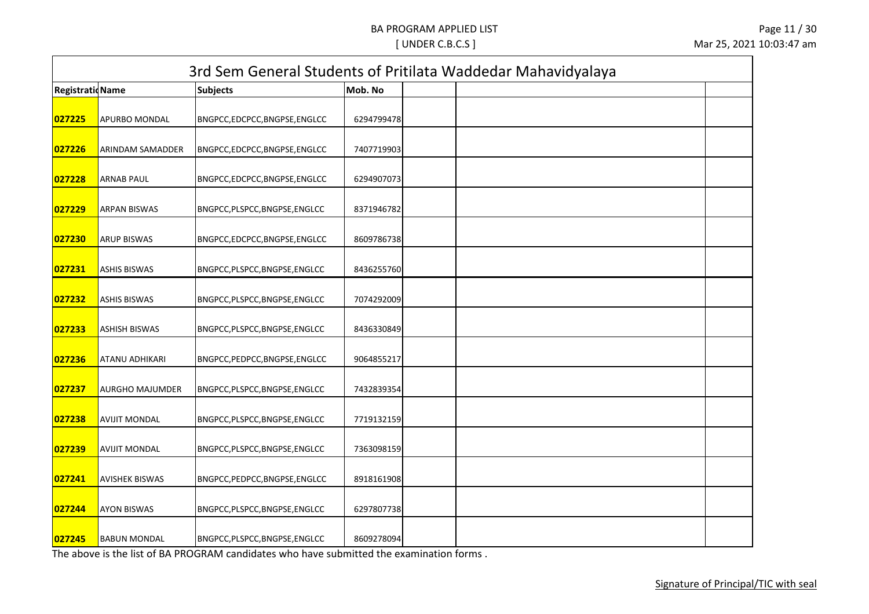| <b>RegistratioName</b> |                         | <b>Subjects</b>                | Mob. No    |  |
|------------------------|-------------------------|--------------------------------|------------|--|
| 027225                 | <b>APURBO MONDAL</b>    | BNGPCC,EDCPCC,BNGPSE,ENGLCC    | 6294799478 |  |
| 027226                 | <b>ARINDAM SAMADDER</b> | BNGPCC,EDCPCC,BNGPSE,ENGLCC    | 7407719903 |  |
| 027228                 | <b>ARNAB PAUL</b>       | BNGPCC,EDCPCC,BNGPSE,ENGLCC    | 6294907073 |  |
| 027229                 | <b>ARPAN BISWAS</b>     | BNGPCC, PLSPCC, BNGPSE, ENGLCC | 8371946782 |  |
| 027230                 | <b>ARUP BISWAS</b>      | BNGPCC,EDCPCC,BNGPSE,ENGLCC    | 8609786738 |  |
| 027231                 | <b>ASHIS BISWAS</b>     | BNGPCC, PLSPCC, BNGPSE, ENGLCC | 8436255760 |  |
| 027232                 | <b>ASHIS BISWAS</b>     | BNGPCC, PLSPCC, BNGPSE, ENGLCC | 7074292009 |  |
| 027233                 | <b>ASHISH BISWAS</b>    | BNGPCC, PLSPCC, BNGPSE, ENGLCC | 8436330849 |  |
| 027236                 | <b>ATANU ADHIKARI</b>   | BNGPCC, PEDPCC, BNGPSE, ENGLCC | 9064855217 |  |
| 027237                 | <b>AURGHO MAJUMDER</b>  | BNGPCC, PLSPCC, BNGPSE, ENGLCC | 7432839354 |  |
| 027238                 | <b>AVIJIT MONDAL</b>    | BNGPCC, PLSPCC, BNGPSE, ENGLCC | 7719132159 |  |
| 027239                 | <b>AVIJIT MONDAL</b>    | BNGPCC, PLSPCC, BNGPSE, ENGLCC | 7363098159 |  |
| 027241                 | <b>AVISHEK BISWAS</b>   | BNGPCC, PEDPCC, BNGPSE, ENGLCC | 8918161908 |  |
| 027244                 | <b>AYON BISWAS</b>      | BNGPCC, PLSPCC, BNGPSE, ENGLCC | 6297807738 |  |
| 027245                 | <b>BABUN MONDAL</b>     | BNGPCC, PLSPCC, BNGPSE, ENGLCC | 8609278094 |  |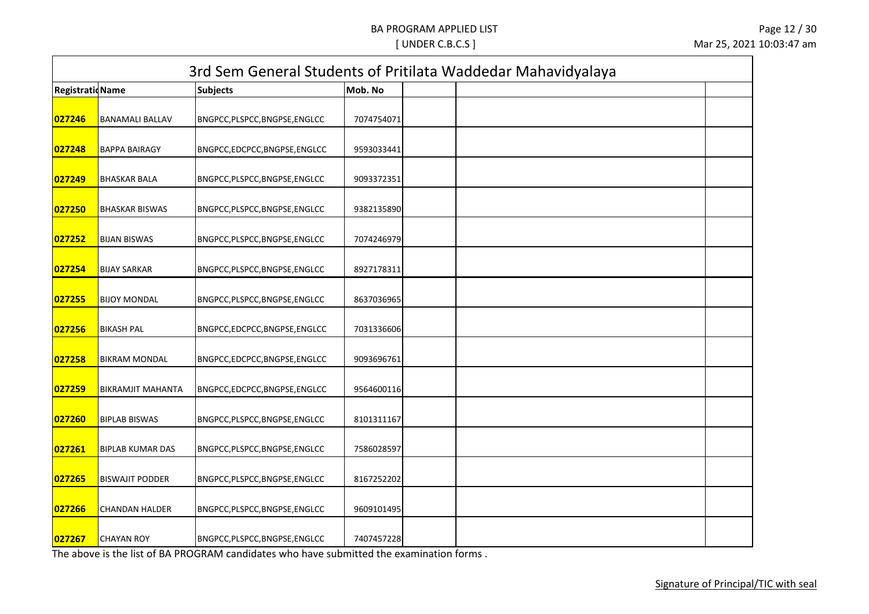| <b>RegistratioName</b> |                          | <b>Subjects</b>                | Mob. No    |  |
|------------------------|--------------------------|--------------------------------|------------|--|
| 027246                 | <b>BANAMALI BALLAV</b>   | BNGPCC, PLSPCC, BNGPSE, ENGLCC | 7074754071 |  |
| 027248                 | <b>BAPPA BAIRAGY</b>     | BNGPCC,EDCPCC,BNGPSE,ENGLCC    | 9593033441 |  |
| 027249                 | <b>BHASKAR BALA</b>      | BNGPCC,PLSPCC,BNGPSE,ENGLCC    | 9093372351 |  |
| 027250                 | <b>BHASKAR BISWAS</b>    | BNGPCC, PLSPCC, BNGPSE, ENGLCC | 9382135890 |  |
| 027252                 | <b>BIJAN BISWAS</b>      | BNGPCC, PLSPCC, BNGPSE, ENGLCC | 7074246979 |  |
| 027254                 | <b>BIJAY SARKAR</b>      | BNGPCC, PLSPCC, BNGPSE, ENGLCC | 8927178311 |  |
| 027255                 | <b>BIJOY MONDAL</b>      | BNGPCC, PLSPCC, BNGPSE, ENGLCC | 8637036965 |  |
| 027256                 | <b>BIKASH PAL</b>        | BNGPCC,EDCPCC,BNGPSE,ENGLCC    | 7031336606 |  |
| 027258                 | <b>BIKRAM MONDAL</b>     | BNGPCC,EDCPCC,BNGPSE,ENGLCC    | 9093696761 |  |
| 027259                 | <b>BIKRAMJIT MAHANTA</b> | BNGPCC,EDCPCC,BNGPSE,ENGLCC    | 9564600116 |  |
| 027260                 | <b>BIPLAB BISWAS</b>     | BNGPCC, PLSPCC, BNGPSE, ENGLCC | 8101311167 |  |
| 027261                 | <b>BIPLAB KUMAR DAS</b>  | BNGPCC, PLSPCC, BNGPSE, ENGLCC | 7586028597 |  |
| 027265                 | <b>BISWAJIT PODDER</b>   | BNGPCC,PLSPCC,BNGPSE,ENGLCC    | 8167252202 |  |
| 027266                 | <b>CHANDAN HALDER</b>    | BNGPCC, PLSPCC, BNGPSE, ENGLCC | 9609101495 |  |
| 027267                 | <b>CHAYAN ROY</b>        | BNGPCC, PLSPCC, BNGPSE, ENGLCC | 7407457228 |  |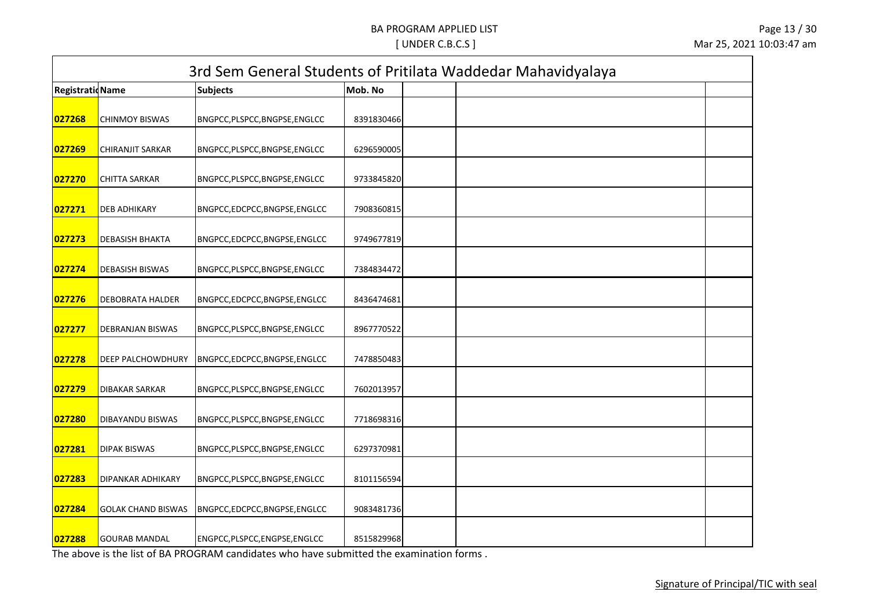| <b>RegistratioName</b> |                           | <b>Subjects</b>                | Mob. No    |  |
|------------------------|---------------------------|--------------------------------|------------|--|
| 027268                 | <b>CHINMOY BISWAS</b>     | BNGPCC, PLSPCC, BNGPSE, ENGLCC | 8391830466 |  |
| 027269                 | <b>CHIRANJIT SARKAR</b>   | BNGPCC, PLSPCC, BNGPSE, ENGLCC | 6296590005 |  |
| 027270                 | <b>CHITTA SARKAR</b>      | BNGPCC,PLSPCC,BNGPSE,ENGLCC    | 9733845820 |  |
| 027271                 | <b>DEB ADHIKARY</b>       | BNGPCC,EDCPCC,BNGPSE,ENGLCC    | 7908360815 |  |
| 027273                 | <b>DEBASISH BHAKTA</b>    | BNGPCC,EDCPCC,BNGPSE,ENGLCC    | 9749677819 |  |
| 027274                 | <b>DEBASISH BISWAS</b>    | BNGPCC, PLSPCC, BNGPSE, ENGLCC | 7384834472 |  |
| 027276                 | <b>DEBOBRATA HALDER</b>   | BNGPCC,EDCPCC,BNGPSE,ENGLCC    | 8436474681 |  |
| 027277                 | <b>DEBRANJAN BISWAS</b>   | BNGPCC, PLSPCC, BNGPSE, ENGLCC | 8967770522 |  |
| 027278                 | <b>DEEP PALCHOWDHURY</b>  | BNGPCC,EDCPCC,BNGPSE,ENGLCC    | 7478850483 |  |
| 027279                 | <b>DIBAKAR SARKAR</b>     | BNGPCC, PLSPCC, BNGPSE, ENGLCC | 7602013957 |  |
| 027280                 | <b>DIBAYANDU BISWAS</b>   | BNGPCC, PLSPCC, BNGPSE, ENGLCC | 7718698316 |  |
| 027281                 | <b>DIPAK BISWAS</b>       | BNGPCC, PLSPCC, BNGPSE, ENGLCC | 6297370981 |  |
| 027283                 | <b>DIPANKAR ADHIKARY</b>  | BNGPCC,PLSPCC,BNGPSE,ENGLCC    | 8101156594 |  |
| 027284                 | <b>GOLAK CHAND BISWAS</b> | BNGPCC,EDCPCC,BNGPSE,ENGLCC    | 9083481736 |  |
| 027288                 | <b>GOURAB MANDAL</b>      | ENGPCC, PLSPCC, ENGPSE, ENGLCC | 8515829968 |  |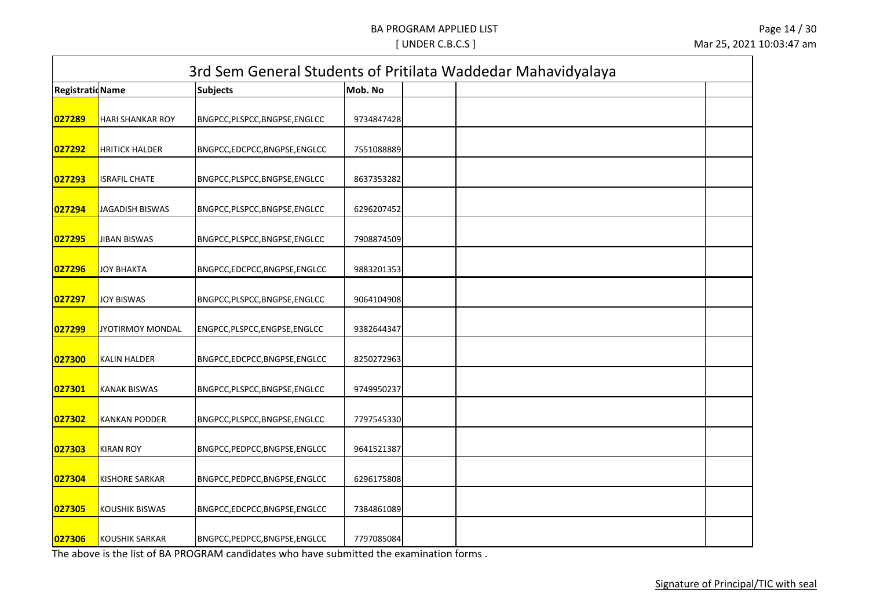| <b>RegistratioName</b> |                         | <b>Subjects</b>                | Mob. No    |  |
|------------------------|-------------------------|--------------------------------|------------|--|
| 027289                 | <b>HARI SHANKAR ROY</b> | BNGPCC, PLSPCC, BNGPSE, ENGLCC | 9734847428 |  |
| 027292                 | <b>HRITICK HALDER</b>   | BNGPCC,EDCPCC,BNGPSE,ENGLCC    | 7551088889 |  |
| 027293                 | <b>ISRAFIL CHATE</b>    | BNGPCC,PLSPCC,BNGPSE,ENGLCC    | 8637353282 |  |
| 027294                 | <b>JAGADISH BISWAS</b>  | BNGPCC, PLSPCC, BNGPSE, ENGLCC | 6296207452 |  |
| 027295                 | <b>JIBAN BISWAS</b>     | BNGPCC, PLSPCC, BNGPSE, ENGLCC | 7908874509 |  |
| 027296                 | JOY BHAKTA              | BNGPCC,EDCPCC,BNGPSE,ENGLCC    | 9883201353 |  |
| 027297                 | <b>JOY BISWAS</b>       | BNGPCC, PLSPCC, BNGPSE, ENGLCC | 9064104908 |  |
| 027299                 | <b>JYOTIRMOY MONDAL</b> | ENGPCC, PLSPCC, ENGPSE, ENGLCC | 9382644347 |  |
| 027300                 | <b>KALIN HALDER</b>     | BNGPCC,EDCPCC,BNGPSE,ENGLCC    | 8250272963 |  |
| 027301                 | <b>KANAK BISWAS</b>     | BNGPCC, PLSPCC, BNGPSE, ENGLCC | 9749950237 |  |
| 027302                 | <b>KANKAN PODDER</b>    | BNGPCC, PLSPCC, BNGPSE, ENGLCC | 7797545330 |  |
| 027303                 | <b>KIRAN ROY</b>        | BNGPCC, PEDPCC, BNGPSE, ENGLCC | 9641521387 |  |
| 027304                 | <b>KISHORE SARKAR</b>   | BNGPCC, PEDPCC, BNGPSE, ENGLCC | 6296175808 |  |
| 027305                 | <b>KOUSHIK BISWAS</b>   | BNGPCC,EDCPCC,BNGPSE,ENGLCC    | 7384861089 |  |
| 027306                 | <b>KOUSHIK SARKAR</b>   | BNGPCC, PEDPCC, BNGPSE, ENGLCC | 7797085084 |  |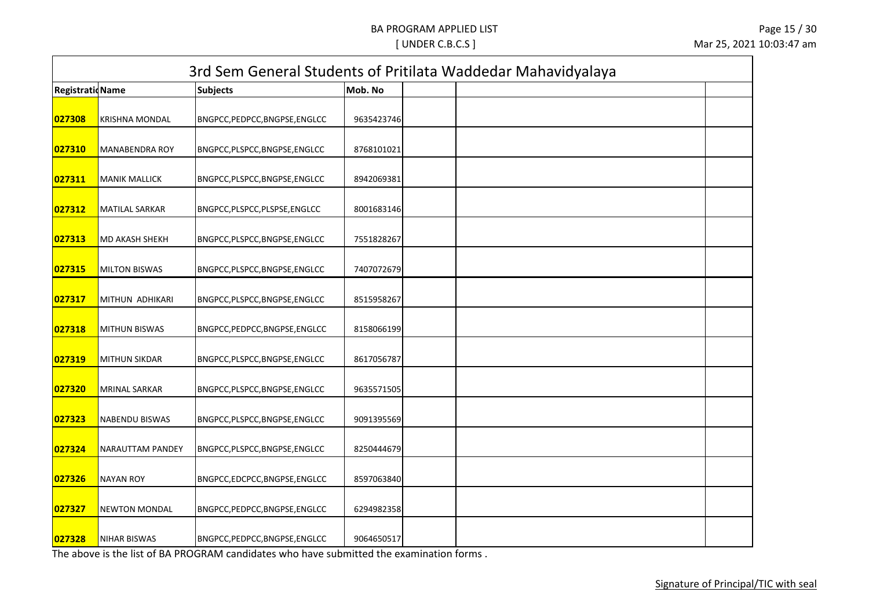| <b>RegistratioName</b> |                       | <b>Subjects</b>                | Mob. No    |  |
|------------------------|-----------------------|--------------------------------|------------|--|
|                        |                       |                                |            |  |
| 027308                 | <b>KRISHNA MONDAL</b> | BNGPCC, PEDPCC, BNGPSE, ENGLCC | 9635423746 |  |
| 027310                 | <b>MANABENDRA ROY</b> | BNGPCC, PLSPCC, BNGPSE, ENGLCC | 8768101021 |  |
| 027311                 | <b>MANIK MALLICK</b>  | BNGPCC, PLSPCC, BNGPSE, ENGLCC | 8942069381 |  |
| 027312                 | <b>MATILAL SARKAR</b> | BNGPCC, PLSPCC, PLSPSE, ENGLCC | 8001683146 |  |
| 027313                 | <b>MD AKASH SHEKH</b> | BNGPCC, PLSPCC, BNGPSE, ENGLCC | 7551828267 |  |
| 027315                 | <b>MILTON BISWAS</b>  | BNGPCC, PLSPCC, BNGPSE, ENGLCC | 7407072679 |  |
| 027317                 | MITHUN ADHIKARI       | BNGPCC, PLSPCC, BNGPSE, ENGLCC | 8515958267 |  |
| 027318                 | <b>MITHUN BISWAS</b>  | BNGPCC, PEDPCC, BNGPSE, ENGLCC | 8158066199 |  |
| 027319                 | <b>MITHUN SIKDAR</b>  | BNGPCC, PLSPCC, BNGPSE, ENGLCC | 8617056787 |  |
| 027320                 | <b>MRINAL SARKAR</b>  | BNGPCC, PLSPCC, BNGPSE, ENGLCC | 9635571505 |  |
| 027323                 | <b>NABENDU BISWAS</b> | BNGPCC, PLSPCC, BNGPSE, ENGLCC | 9091395569 |  |
| 027324                 | NARAUTTAM PANDEY      | BNGPCC,PLSPCC,BNGPSE,ENGLCC    | 8250444679 |  |
| 027326                 | <b>NAYAN ROY</b>      | BNGPCC,EDCPCC,BNGPSE,ENGLCC    | 8597063840 |  |
| 027327                 | <b>NEWTON MONDAL</b>  | BNGPCC, PEDPCC, BNGPSE, ENGLCC | 6294982358 |  |
| 027328                 | NIHAR BISWAS          | BNGPCC, PEDPCC, BNGPSE, ENGLCC | 9064650517 |  |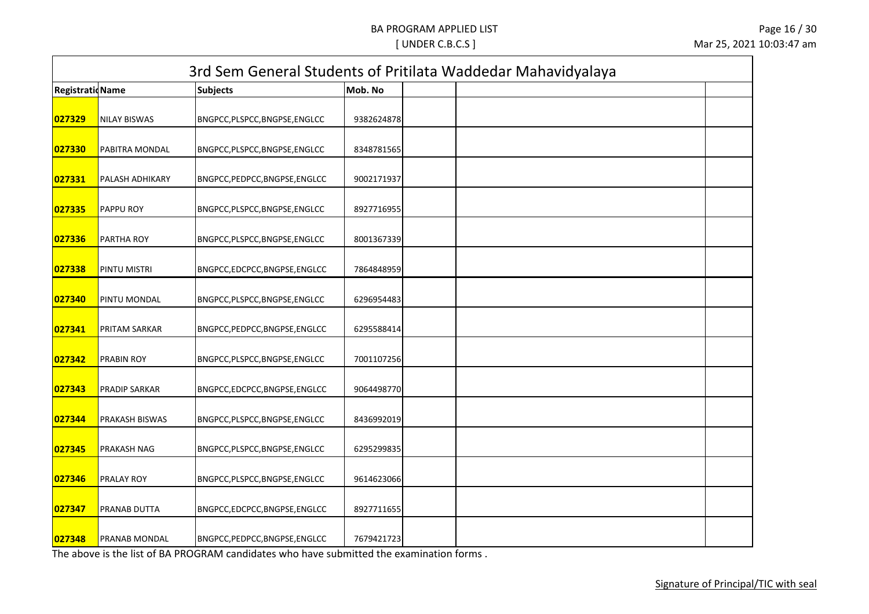| <b>RegistratioName</b> |                      | <b>Subjects</b>                | Mob. No    |  |
|------------------------|----------------------|--------------------------------|------------|--|
| 027329                 | <b>NILAY BISWAS</b>  | BNGPCC, PLSPCC, BNGPSE, ENGLCC | 9382624878 |  |
| 027330                 | PABITRA MONDAL       | BNGPCC, PLSPCC, BNGPSE, ENGLCC | 8348781565 |  |
| 027331                 | PALASH ADHIKARY      | BNGPCC, PEDPCC, BNGPSE, ENGLCC | 9002171937 |  |
| 027335                 | PAPPU ROY            | BNGPCC, PLSPCC, BNGPSE, ENGLCC | 8927716955 |  |
| 027336                 | PARTHA ROY           | BNGPCC, PLSPCC, BNGPSE, ENGLCC | 8001367339 |  |
| 027338                 | PINTU MISTRI         | BNGPCC,EDCPCC,BNGPSE,ENGLCC    | 7864848959 |  |
| 027340                 | PINTU MONDAL         | BNGPCC, PLSPCC, BNGPSE, ENGLCC | 6296954483 |  |
| 027341                 | PRITAM SARKAR        | BNGPCC, PEDPCC, BNGPSE, ENGLCC | 6295588414 |  |
| 027342                 | PRABIN ROY           | BNGPCC, PLSPCC, BNGPSE, ENGLCC | 7001107256 |  |
| 027343                 | <b>PRADIP SARKAR</b> | BNGPCC,EDCPCC,BNGPSE,ENGLCC    | 9064498770 |  |
| 027344                 | PRAKASH BISWAS       | BNGPCC, PLSPCC, BNGPSE, ENGLCC | 8436992019 |  |
| 027345                 | PRAKASH NAG          | BNGPCC, PLSPCC, BNGPSE, ENGLCC | 6295299835 |  |
| 027346                 | PRALAY ROY           | BNGPCC,PLSPCC,BNGPSE,ENGLCC    | 9614623066 |  |
| 027347                 | PRANAB DUTTA         | BNGPCC,EDCPCC,BNGPSE,ENGLCC    | 8927711655 |  |
| 027348                 | PRANAB MONDAL        | BNGPCC, PEDPCC, BNGPSE, ENGLCC | 7679421723 |  |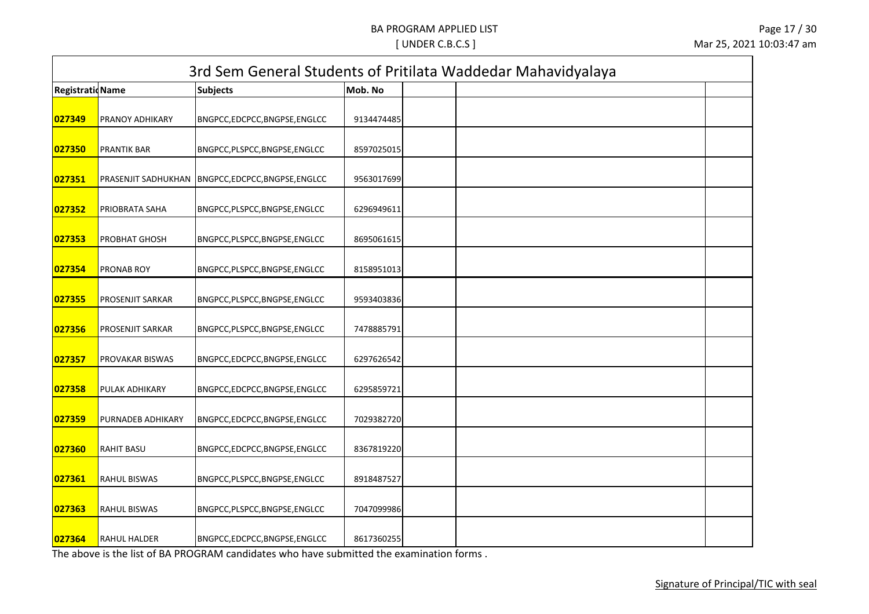| <b>RegistratioName</b> |                     | <b>Subjects</b>                | Mob. No    |  |
|------------------------|---------------------|--------------------------------|------------|--|
| 027349                 | PRANOY ADHIKARY     | BNGPCC,EDCPCC,BNGPSE,ENGLCC    | 9134474485 |  |
| 027350                 | <b>PRANTIK BAR</b>  | BNGPCC, PLSPCC, BNGPSE, ENGLCC | 8597025015 |  |
| 027351                 | PRASENJIT SADHUKHAN | BNGPCC,EDCPCC,BNGPSE,ENGLCC    | 9563017699 |  |
| 027352                 | PRIOBRATA SAHA      | BNGPCC, PLSPCC, BNGPSE, ENGLCC | 6296949611 |  |
| 027353                 | PROBHAT GHOSH       | BNGPCC, PLSPCC, BNGPSE, ENGLCC | 8695061615 |  |
| 027354                 | PRONAB ROY          | BNGPCC, PLSPCC, BNGPSE, ENGLCC | 8158951013 |  |
| 027355                 | PROSENJIT SARKAR    | BNGPCC,PLSPCC,BNGPSE,ENGLCC    | 9593403836 |  |
| 027356                 | PROSENJIT SARKAR    | BNGPCC, PLSPCC, BNGPSE, ENGLCC | 7478885791 |  |
| 027357                 | PROVAKAR BISWAS     | BNGPCC,EDCPCC,BNGPSE,ENGLCC    | 6297626542 |  |
| 027358                 | PULAK ADHIKARY      | BNGPCC,EDCPCC,BNGPSE,ENGLCC    | 6295859721 |  |
| 027359                 | PURNADEB ADHIKARY   | BNGPCC,EDCPCC,BNGPSE,ENGLCC    | 7029382720 |  |
| 027360                 | <b>RAHIT BASU</b>   | BNGPCC,EDCPCC,BNGPSE,ENGLCC    | 8367819220 |  |
| 027361                 | <b>RAHUL BISWAS</b> | BNGPCC,PLSPCC,BNGPSE,ENGLCC    | 8918487527 |  |
| 027363                 | <b>RAHUL BISWAS</b> | BNGPCC, PLSPCC, BNGPSE, ENGLCC | 7047099986 |  |
| 027364                 | <b>RAHUL HALDER</b> | BNGPCC,EDCPCC,BNGPSE,ENGLCC    | 8617360255 |  |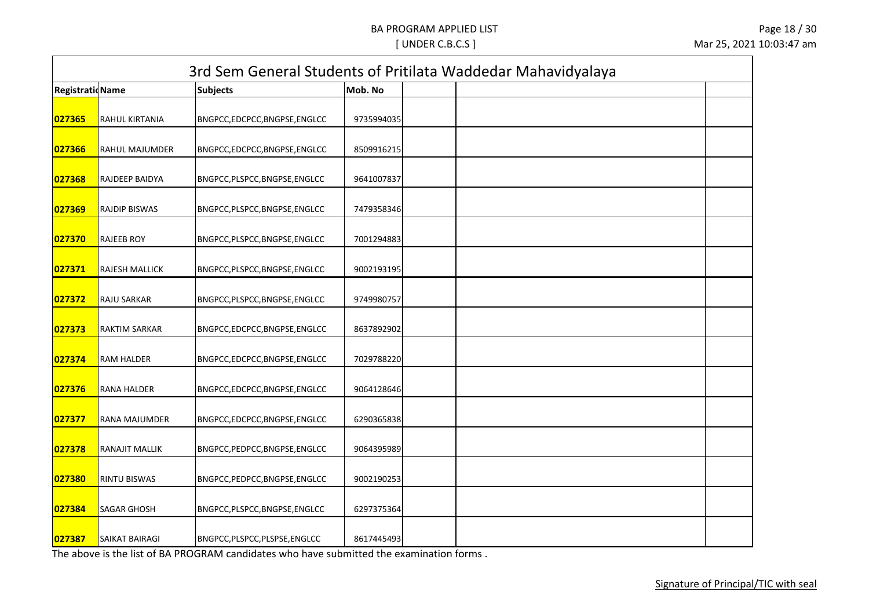|                         | 3rd Sem General Students of Pritilata Waddedar Mahavidyalaya |                                |            |  |  |  |  |  |
|-------------------------|--------------------------------------------------------------|--------------------------------|------------|--|--|--|--|--|
| <b>Registratid Name</b> |                                                              | <b>Subjects</b>                | Mob. No    |  |  |  |  |  |
| 027365                  | RAHUL KIRTANIA                                               | BNGPCC,EDCPCC,BNGPSE,ENGLCC    | 9735994035 |  |  |  |  |  |
| 027366                  | RAHUL MAJUMDER                                               | BNGPCC,EDCPCC,BNGPSE,ENGLCC    | 8509916215 |  |  |  |  |  |
| 027368                  | RAJDEEP BAIDYA                                               | BNGPCC, PLSPCC, BNGPSE, ENGLCC | 9641007837 |  |  |  |  |  |
| 027369                  | <b>RAJDIP BISWAS</b>                                         | BNGPCC, PLSPCC, BNGPSE, ENGLCC | 7479358346 |  |  |  |  |  |
| 027370                  | <b>RAJEEB ROY</b>                                            | BNGPCC, PLSPCC, BNGPSE, ENGLCC | 7001294883 |  |  |  |  |  |
| 027371                  | <b>RAJESH MALLICK</b>                                        | BNGPCC, PLSPCC, BNGPSE, ENGLCC | 9002193195 |  |  |  |  |  |
| 027372                  | RAJU SARKAR                                                  | BNGPCC, PLSPCC, BNGPSE, ENGLCC | 9749980757 |  |  |  |  |  |
| 027373                  | <b>RAKTIM SARKAR</b>                                         | BNGPCC,EDCPCC,BNGPSE,ENGLCC    | 8637892902 |  |  |  |  |  |
| 027374                  | <b>RAM HALDER</b>                                            | BNGPCC,EDCPCC,BNGPSE,ENGLCC    | 7029788220 |  |  |  |  |  |
| 027376                  | RANA HALDER                                                  | BNGPCC,EDCPCC,BNGPSE,ENGLCC    | 9064128646 |  |  |  |  |  |
| 027377                  | RANA MAJUMDER                                                | BNGPCC,EDCPCC,BNGPSE,ENGLCC    | 6290365838 |  |  |  |  |  |
| 027378                  | RANAJIT MALLIK                                               | BNGPCC, PEDPCC, BNGPSE, ENGLCC | 9064395989 |  |  |  |  |  |
| 027380                  | RINTU BISWAS                                                 | BNGPCC, PEDPCC, BNGPSE, ENGLCC | 9002190253 |  |  |  |  |  |
| 027384                  | SAGAR GHOSH                                                  | BNGPCC, PLSPCC, BNGPSE, ENGLCC | 6297375364 |  |  |  |  |  |
| 027387                  | <b>SAIKAT BAIRAGI</b>                                        | BNGPCC, PLSPCC, PLSPSE, ENGLCC | 8617445493 |  |  |  |  |  |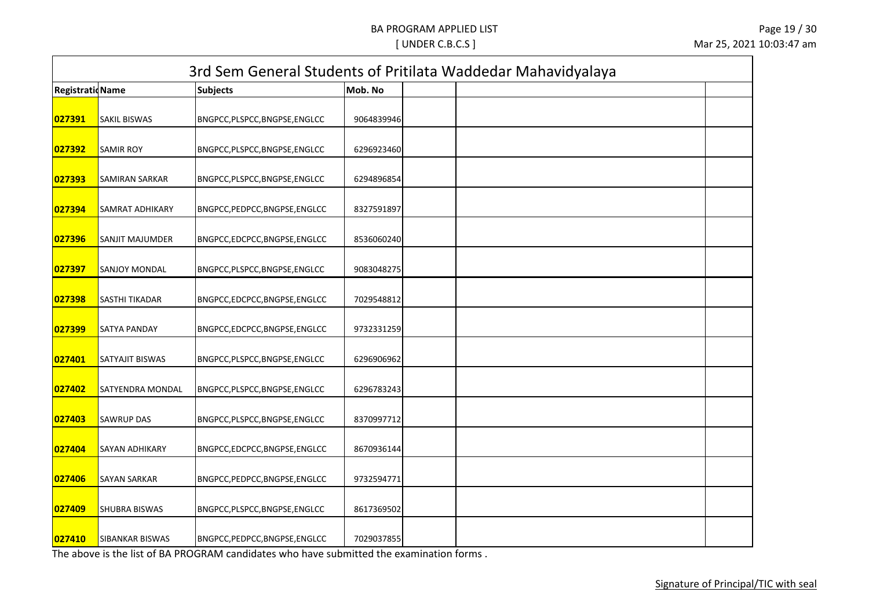| <b>RegistratioName</b> |                        | <b>Subjects</b>                | Mob. No    |  |
|------------------------|------------------------|--------------------------------|------------|--|
| 027391                 | <b>SAKIL BISWAS</b>    | BNGPCC, PLSPCC, BNGPSE, ENGLCC | 9064839946 |  |
| 027392                 | <b>SAMIR ROY</b>       | BNGPCC, PLSPCC, BNGPSE, ENGLCC | 6296923460 |  |
| 027393                 | <b>SAMIRAN SARKAR</b>  | BNGPCC,PLSPCC,BNGPSE,ENGLCC    | 6294896854 |  |
| 027394                 | SAMRAT ADHIKARY        | BNGPCC, PEDPCC, BNGPSE, ENGLCC | 8327591897 |  |
| 027396                 | <b>SANJIT MAJUMDER</b> | BNGPCC,EDCPCC,BNGPSE,ENGLCC    | 8536060240 |  |
| 027397                 | <b>SANJOY MONDAL</b>   | BNGPCC, PLSPCC, BNGPSE, ENGLCC | 9083048275 |  |
| 027398                 | SASTHI TIKADAR         | BNGPCC,EDCPCC,BNGPSE,ENGLCC    | 7029548812 |  |
| 027399                 | SATYA PANDAY           | BNGPCC,EDCPCC,BNGPSE,ENGLCC    | 9732331259 |  |
| 027401                 | SATYAJIT BISWAS        | BNGPCC, PLSPCC, BNGPSE, ENGLCC | 6296906962 |  |
| 027402                 | SATYENDRA MONDAL       | BNGPCC, PLSPCC, BNGPSE, ENGLCC | 6296783243 |  |
| 027403                 | <b>SAWRUP DAS</b>      | BNGPCC, PLSPCC, BNGPSE, ENGLCC | 8370997712 |  |
| 027404                 | SAYAN ADHIKARY         | BNGPCC,EDCPCC,BNGPSE,ENGLCC    | 8670936144 |  |
| 027406                 | SAYAN SARKAR           | BNGPCC, PEDPCC, BNGPSE, ENGLCC | 9732594771 |  |
| 027409                 | <b>SHUBRA BISWAS</b>   | BNGPCC, PLSPCC, BNGPSE, ENGLCC | 8617369502 |  |
| 027410                 | SIBANKAR BISWAS        | BNGPCC, PEDPCC, BNGPSE, ENGLCC | 7029037855 |  |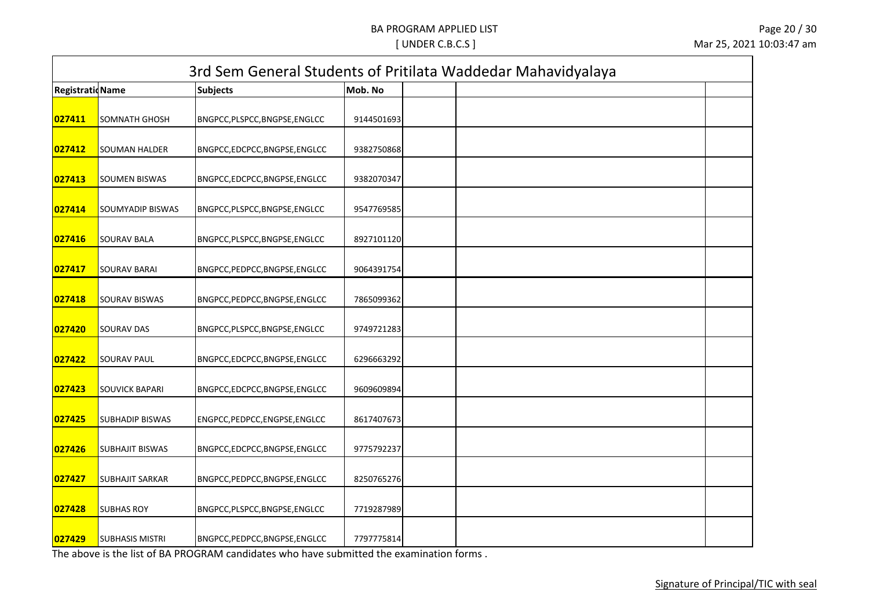| <b>RegistratioName</b> |                         | <b>Subjects</b>                | Mob. No    |  |
|------------------------|-------------------------|--------------------------------|------------|--|
| 027411                 | <b>SOMNATH GHOSH</b>    | BNGPCC, PLSPCC, BNGPSE, ENGLCC | 9144501693 |  |
| 027412                 | <b>SOUMAN HALDER</b>    | BNGPCC,EDCPCC,BNGPSE,ENGLCC    | 9382750868 |  |
| 027413                 | <b>SOUMEN BISWAS</b>    | BNGPCC,EDCPCC,BNGPSE,ENGLCC    | 9382070347 |  |
| 027414                 | <b>SOUMYADIP BISWAS</b> | BNGPCC, PLSPCC, BNGPSE, ENGLCC | 9547769585 |  |
| 027416                 | <b>SOURAV BALA</b>      | BNGPCC, PLSPCC, BNGPSE, ENGLCC | 8927101120 |  |
| 027417                 | <b>SOURAV BARAI</b>     | BNGPCC, PEDPCC, BNGPSE, ENGLCC | 9064391754 |  |
| 027418                 | <b>SOURAV BISWAS</b>    | BNGPCC, PEDPCC, BNGPSE, ENGLCC | 7865099362 |  |
| 027420                 | <b>SOURAV DAS</b>       | BNGPCC, PLSPCC, BNGPSE, ENGLCC | 9749721283 |  |
| 027422                 | <b>SOURAV PAUL</b>      | BNGPCC,EDCPCC,BNGPSE,ENGLCC    | 6296663292 |  |
| 027423                 | <b>SOUVICK BAPARI</b>   | BNGPCC,EDCPCC,BNGPSE,ENGLCC    | 9609609894 |  |
| 027425                 | <b>SUBHADIP BISWAS</b>  | ENGPCC, PEDPCC, ENGPSE, ENGLCC | 8617407673 |  |
| 027426                 | <b>SUBHAJIT BISWAS</b>  | BNGPCC,EDCPCC,BNGPSE,ENGLCC    | 9775792237 |  |
| 027427                 | <b>SUBHAJIT SARKAR</b>  | BNGPCC, PEDPCC, BNGPSE, ENGLCC | 8250765276 |  |
| 027428                 | <b>SUBHAS ROY</b>       | BNGPCC, PLSPCC, BNGPSE, ENGLCC | 7719287989 |  |
| 027429                 | <b>SUBHASIS MISTRI</b>  | BNGPCC, PEDPCC, BNGPSE, ENGLCC | 7797775814 |  |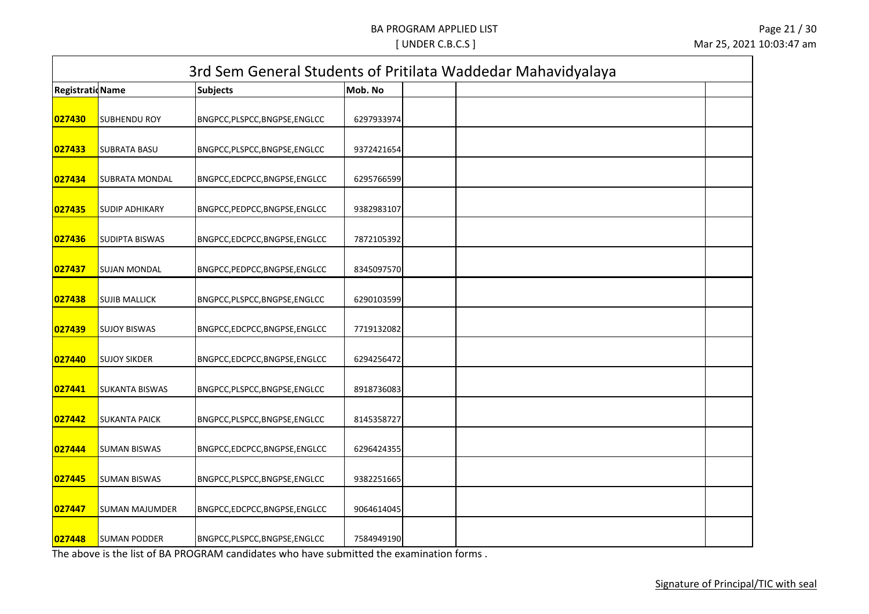| <b>RegistratioName</b> |                       | <b>Subjects</b>                | Mob. No    |  |
|------------------------|-----------------------|--------------------------------|------------|--|
| 027430                 | <b>SUBHENDU ROY</b>   | BNGPCC, PLSPCC, BNGPSE, ENGLCC | 6297933974 |  |
| 027433                 | <b>SUBRATA BASU</b>   | BNGPCC, PLSPCC, BNGPSE, ENGLCC | 9372421654 |  |
| 027434                 | SUBRATA MONDAL        | BNGPCC,EDCPCC,BNGPSE,ENGLCC    | 6295766599 |  |
| 027435                 | <b>SUDIP ADHIKARY</b> | BNGPCC, PEDPCC, BNGPSE, ENGLCC | 9382983107 |  |
| 027436                 | <b>SUDIPTA BISWAS</b> | BNGPCC,EDCPCC,BNGPSE,ENGLCC    | 7872105392 |  |
| 027437                 | <b>SUJAN MONDAL</b>   | BNGPCC, PEDPCC, BNGPSE, ENGLCC | 8345097570 |  |
| 027438                 | <b>SUJIB MALLICK</b>  | BNGPCC, PLSPCC, BNGPSE, ENGLCC | 6290103599 |  |
| 027439                 | <b>SUJOY BISWAS</b>   | BNGPCC,EDCPCC,BNGPSE,ENGLCC    | 7719132082 |  |
| 027440                 | <b>SUJOY SIKDER</b>   | BNGPCC,EDCPCC,BNGPSE,ENGLCC    | 6294256472 |  |
| 027441                 | <b>SUKANTA BISWAS</b> | BNGPCC, PLSPCC, BNGPSE, ENGLCC | 8918736083 |  |
| 027442                 | <b>SUKANTA PAICK</b>  | BNGPCC, PLSPCC, BNGPSE, ENGLCC | 8145358727 |  |
| 027444                 | <b>SUMAN BISWAS</b>   | BNGPCC,EDCPCC,BNGPSE,ENGLCC    | 6296424355 |  |
| 027445                 | <b>SUMAN BISWAS</b>   | BNGPCC,PLSPCC,BNGPSE,ENGLCC    | 9382251665 |  |
| 027447                 | <b>SUMAN MAJUMDER</b> | BNGPCC,EDCPCC,BNGPSE,ENGLCC    | 9064614045 |  |
| 027448                 | <b>SUMAN PODDER</b>   | BNGPCC, PLSPCC, BNGPSE, ENGLCC | 7584949190 |  |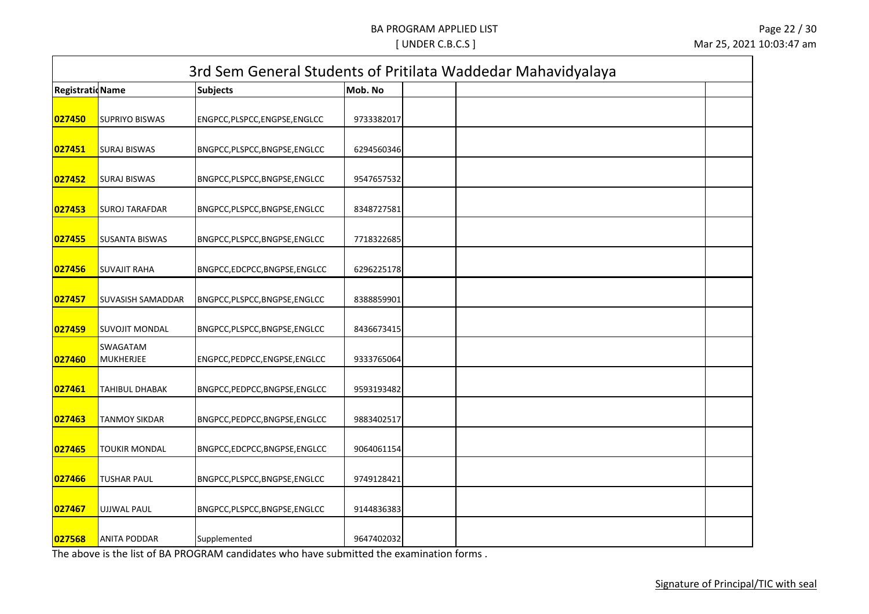| <b>Registratid Name</b> |                              | <b>Subjects</b>                | Mob. No    |  |
|-------------------------|------------------------------|--------------------------------|------------|--|
| 027450                  | <b>SUPRIYO BISWAS</b>        | ENGPCC, PLSPCC, ENGPSE, ENGLCC | 9733382017 |  |
| 027451                  | <b>SURAJ BISWAS</b>          | BNGPCC, PLSPCC, BNGPSE, ENGLCC | 6294560346 |  |
| 027452                  | <b>SURAJ BISWAS</b>          | BNGPCC, PLSPCC, BNGPSE, ENGLCC | 9547657532 |  |
| 027453                  | <b>SUROJ TARAFDAR</b>        | BNGPCC, PLSPCC, BNGPSE, ENGLCC | 8348727581 |  |
| 027455                  | <b>SUSANTA BISWAS</b>        | BNGPCC, PLSPCC, BNGPSE, ENGLCC | 7718322685 |  |
| 027456                  | <b>SUVAJIT RAHA</b>          | BNGPCC,EDCPCC,BNGPSE,ENGLCC    | 6296225178 |  |
| 027457                  | <b>SUVASISH SAMADDAR</b>     | BNGPCC, PLSPCC, BNGPSE, ENGLCC | 8388859901 |  |
| 027459                  | <b>SUVOJIT MONDAL</b>        | BNGPCC, PLSPCC, BNGPSE, ENGLCC | 8436673415 |  |
| 027460                  | SWAGATAM<br><b>MUKHERJEE</b> | ENGPCC, PEDPCC, ENGPSE, ENGLCC | 9333765064 |  |
| 027461                  | <b>TAHIBUL DHABAK</b>        | BNGPCC, PEDPCC, BNGPSE, ENGLCC | 9593193482 |  |
| 027463                  | <b>TANMOY SIKDAR</b>         | BNGPCC, PEDPCC, BNGPSE, ENGLCC | 9883402517 |  |
| 027465                  | <b>TOUKIR MONDAL</b>         | BNGPCC,EDCPCC,BNGPSE,ENGLCC    | 9064061154 |  |
| 027466                  | <b>TUSHAR PAUL</b>           | BNGPCC, PLSPCC, BNGPSE, ENGLCC | 9749128421 |  |
| 027467                  | <b>UJJWAL PAUL</b>           | BNGPCC, PLSPCC, BNGPSE, ENGLCC | 9144836383 |  |
| 027568                  | <b>ANITA PODDAR</b>          | Supplemented                   | 9647402032 |  |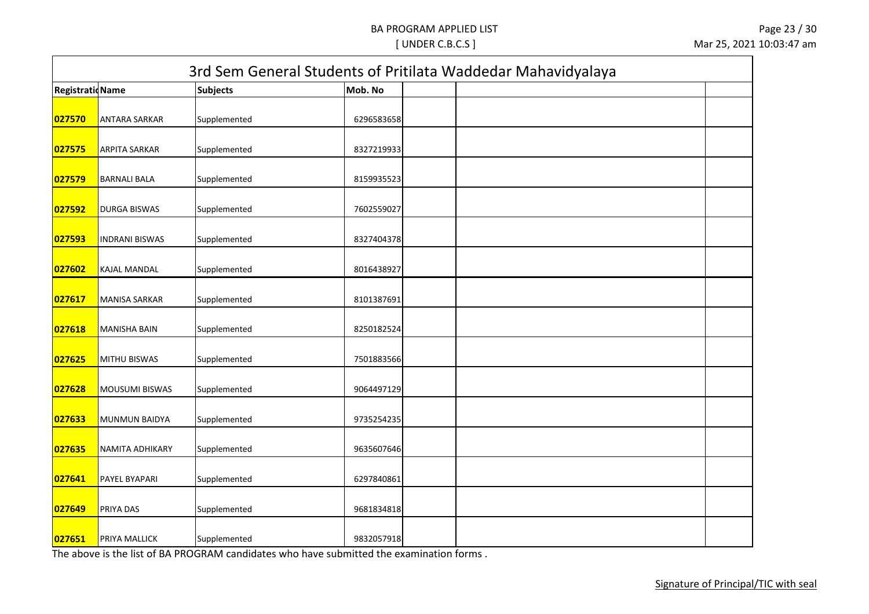|                         | 3rd Sem General Students of Pritilata Waddedar Mahavidyalaya |                 |            |  |  |  |  |
|-------------------------|--------------------------------------------------------------|-----------------|------------|--|--|--|--|
| <b>Registratid Name</b> |                                                              | <b>Subjects</b> | Mob. No    |  |  |  |  |
| 027570                  | <b>ANTARA SARKAR</b>                                         | Supplemented    | 6296583658 |  |  |  |  |
| 027575                  | <b>ARPITA SARKAR</b>                                         | Supplemented    | 8327219933 |  |  |  |  |
| 027579                  | <b>BARNALI BALA</b>                                          | Supplemented    | 8159935523 |  |  |  |  |
| 027592                  | <b>DURGA BISWAS</b>                                          | Supplemented    | 7602559027 |  |  |  |  |
| 027593                  | <b>INDRANI BISWAS</b>                                        | Supplemented    | 8327404378 |  |  |  |  |
| 027602                  | <b>KAJAL MANDAL</b>                                          | Supplemented    | 8016438927 |  |  |  |  |
| 027617                  | <b>MANISA SARKAR</b>                                         | Supplemented    | 8101387691 |  |  |  |  |
| 027618                  | <b>MANISHA BAIN</b>                                          | Supplemented    | 8250182524 |  |  |  |  |
| 027625                  | <b>MITHU BISWAS</b>                                          | Supplemented    | 7501883566 |  |  |  |  |
| 027628                  | <b>MOUSUMI BISWAS</b>                                        | Supplemented    | 9064497129 |  |  |  |  |
| 027633                  | <b>MUNMUN BAIDYA</b>                                         | Supplemented    | 9735254235 |  |  |  |  |
| 027635                  | NAMITA ADHIKARY                                              | Supplemented    | 9635607646 |  |  |  |  |
| 027641                  | PAYEL BYAPARI                                                | Supplemented    | 6297840861 |  |  |  |  |
| 027649                  | PRIYA DAS                                                    | Supplemented    | 9681834818 |  |  |  |  |
| 027651                  | <b>PRIYA MALLICK</b>                                         | Supplemented    | 9832057918 |  |  |  |  |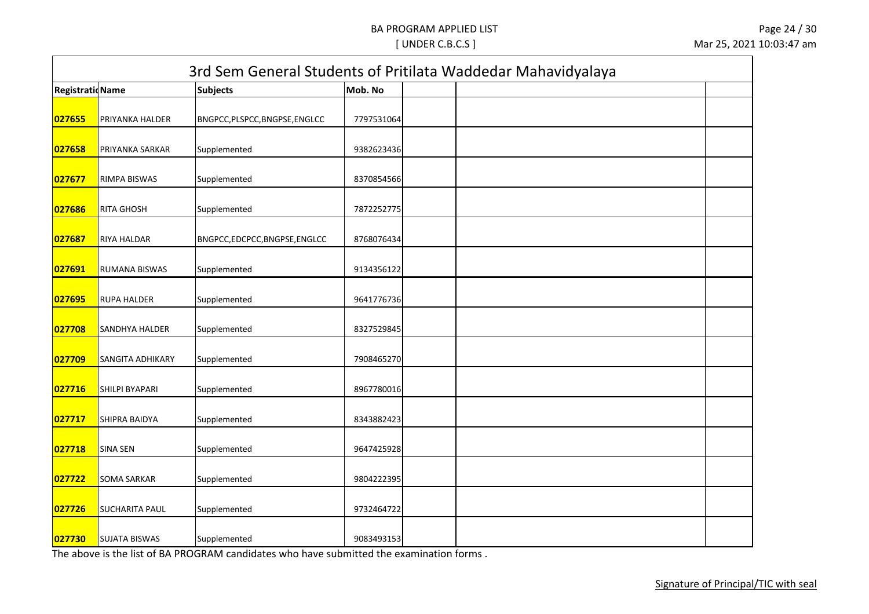| <b>RegistratioName</b> |                       | <b>Subjects</b>                | Mob. No    |  |
|------------------------|-----------------------|--------------------------------|------------|--|
|                        |                       |                                |            |  |
| 027655                 | PRIYANKA HALDER       | BNGPCC, PLSPCC, BNGPSE, ENGLCC | 7797531064 |  |
| 027658                 | PRIYANKA SARKAR       | Supplemented                   | 9382623436 |  |
| 027677                 | RIMPA BISWAS          | Supplemented                   | 8370854566 |  |
| 027686                 | <b>RITA GHOSH</b>     | Supplemented                   | 7872252775 |  |
| 027687                 | RIYA HALDAR           | BNGPCC,EDCPCC,BNGPSE,ENGLCC    | 8768076434 |  |
| 027691                 | <b>RUMANA BISWAS</b>  | Supplemented                   | 9134356122 |  |
| 027695                 | <b>RUPA HALDER</b>    | Supplemented                   | 9641776736 |  |
| 027708                 | <b>SANDHYA HALDER</b> | Supplemented                   | 8327529845 |  |
| 027709                 | SANGITA ADHIKARY      | Supplemented                   | 7908465270 |  |
| 027716                 | <b>SHILPI BYAPARI</b> | Supplemented                   | 8967780016 |  |
| 027717                 | SHIPRA BAIDYA         | Supplemented                   | 8343882423 |  |
| 027718                 | <b>SINA SEN</b>       | Supplemented                   | 9647425928 |  |
| 027722                 | <b>SOMA SARKAR</b>    | Supplemented                   | 9804222395 |  |
| 027726                 | <b>SUCHARITA PAUL</b> | Supplemented                   | 9732464722 |  |
| 027730                 | <b>SUJATA BISWAS</b>  | Supplemented                   | 9083493153 |  |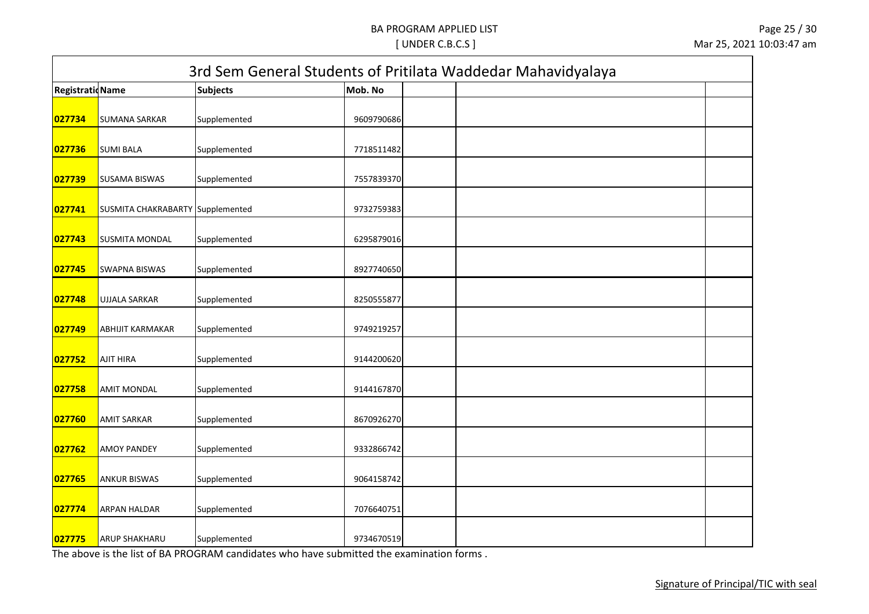| 3rd Sem General Students of Pritilata Waddedar Mahavidyalaya |                                  |                 |            |  |  |  |  |  |  |
|--------------------------------------------------------------|----------------------------------|-----------------|------------|--|--|--|--|--|--|
| <b>Registratid Name</b>                                      |                                  | <b>Subjects</b> | Mob. No    |  |  |  |  |  |  |
| 027734                                                       | <b>SUMANA SARKAR</b>             | Supplemented    | 9609790686 |  |  |  |  |  |  |
| 027736                                                       | <b>SUMI BALA</b>                 | Supplemented    | 7718511482 |  |  |  |  |  |  |
| 027739                                                       | <b>SUSAMA BISWAS</b>             | Supplemented    | 7557839370 |  |  |  |  |  |  |
| 027741                                                       | SUSMITA CHAKRABARTY Supplemented |                 | 9732759383 |  |  |  |  |  |  |
| 027743                                                       | <b>SUSMITA MONDAL</b>            | Supplemented    | 6295879016 |  |  |  |  |  |  |
| 027745                                                       | <b>SWAPNA BISWAS</b>             | Supplemented    | 8927740650 |  |  |  |  |  |  |
| 027748                                                       | <b>UJJALA SARKAR</b>             | Supplemented    | 8250555877 |  |  |  |  |  |  |
| 027749                                                       | <b>ABHIJIT KARMAKAR</b>          | Supplemented    | 9749219257 |  |  |  |  |  |  |
| 027752                                                       | <b>AJIT HIRA</b>                 | Supplemented    | 9144200620 |  |  |  |  |  |  |
| 027758                                                       | <b>AMIT MONDAL</b>               | Supplemented    | 9144167870 |  |  |  |  |  |  |
| 027760                                                       | <b>AMIT SARKAR</b>               | Supplemented    | 8670926270 |  |  |  |  |  |  |
| 027762                                                       | <b>AMOY PANDEY</b>               | Supplemented    | 9332866742 |  |  |  |  |  |  |
| 027765                                                       | <b>ANKUR BISWAS</b>              | Supplemented    | 9064158742 |  |  |  |  |  |  |
| 027774                                                       | <b>ARPAN HALDAR</b>              | Supplemented    | 7076640751 |  |  |  |  |  |  |
| 027775                                                       | <b>ARUP SHAKHARU</b>             | Supplemented    | 9734670519 |  |  |  |  |  |  |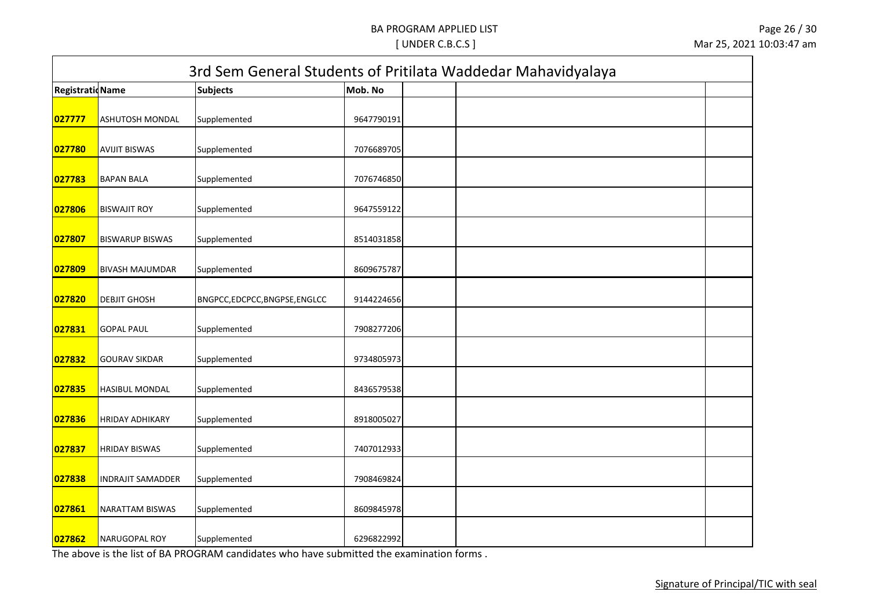| 3rd Sem General Students of Pritilata Waddedar Mahavidyalaya |                          |                             |            |  |  |  |  |  |
|--------------------------------------------------------------|--------------------------|-----------------------------|------------|--|--|--|--|--|
| <b>Registratid Name</b>                                      |                          | <b>Subjects</b>             | Mob. No    |  |  |  |  |  |
| 027777                                                       | <b>ASHUTOSH MONDAL</b>   | Supplemented                | 9647790191 |  |  |  |  |  |
| 027780                                                       | <b>AVIJIT BISWAS</b>     | Supplemented                | 7076689705 |  |  |  |  |  |
| 027783                                                       | <b>BAPAN BALA</b>        | Supplemented                | 7076746850 |  |  |  |  |  |
| 027806                                                       | <b>BISWAJIT ROY</b>      | Supplemented                | 9647559122 |  |  |  |  |  |
| 027807                                                       | <b>BISWARUP BISWAS</b>   | Supplemented                | 8514031858 |  |  |  |  |  |
| 027809                                                       | <b>BIVASH MAJUMDAR</b>   | Supplemented                | 8609675787 |  |  |  |  |  |
| 027820                                                       | <b>DEBJIT GHOSH</b>      | BNGPCC,EDCPCC,BNGPSE,ENGLCC | 9144224656 |  |  |  |  |  |
| 027831                                                       | <b>GOPAL PAUL</b>        | Supplemented                | 7908277206 |  |  |  |  |  |
| 027832                                                       | <b>GOURAV SIKDAR</b>     | Supplemented                | 9734805973 |  |  |  |  |  |
| 027835                                                       | <b>HASIBUL MONDAL</b>    | Supplemented                | 8436579538 |  |  |  |  |  |
| 027836                                                       | <b>HRIDAY ADHIKARY</b>   | Supplemented                | 8918005027 |  |  |  |  |  |
| 027837                                                       | <b>HRIDAY BISWAS</b>     | Supplemented                | 7407012933 |  |  |  |  |  |
| 027838                                                       | <b>INDRAJIT SAMADDER</b> | Supplemented                | 7908469824 |  |  |  |  |  |
| 027861                                                       | NARATTAM BISWAS          | Supplemented                | 8609845978 |  |  |  |  |  |
| 027862                                                       | <b>NARUGOPAL ROY</b>     | Supplemented                | 6296822992 |  |  |  |  |  |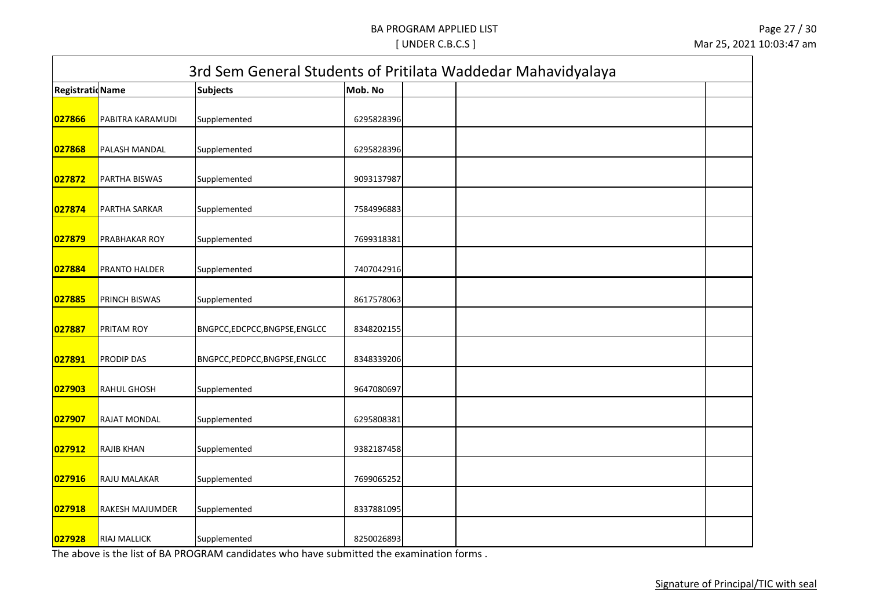| 3rd Sem General Students of Pritilata Waddedar Mahavidyalaya |                     |                                |            |  |  |  |  |  |  |
|--------------------------------------------------------------|---------------------|--------------------------------|------------|--|--|--|--|--|--|
| <b>Registratid Name</b>                                      |                     | <b>Subjects</b>                | Mob. No    |  |  |  |  |  |  |
| 027866                                                       | PABITRA KARAMUDI    | Supplemented                   | 6295828396 |  |  |  |  |  |  |
| 027868                                                       | PALASH MANDAL       | Supplemented                   | 6295828396 |  |  |  |  |  |  |
| 027872                                                       | PARTHA BISWAS       | Supplemented                   | 9093137987 |  |  |  |  |  |  |
| 027874                                                       | PARTHA SARKAR       | Supplemented                   | 7584996883 |  |  |  |  |  |  |
| 027879                                                       | PRABHAKAR ROY       | Supplemented                   | 7699318381 |  |  |  |  |  |  |
| 027884                                                       | PRANTO HALDER       | Supplemented                   | 7407042916 |  |  |  |  |  |  |
| 027885                                                       | PRINCH BISWAS       | Supplemented                   | 8617578063 |  |  |  |  |  |  |
| 027887                                                       | PRITAM ROY          | BNGPCC,EDCPCC,BNGPSE,ENGLCC    | 8348202155 |  |  |  |  |  |  |
| 027891                                                       | PRODIP DAS          | BNGPCC, PEDPCC, BNGPSE, ENGLCC | 8348339206 |  |  |  |  |  |  |
| 027903                                                       | <b>RAHUL GHOSH</b>  | Supplemented                   | 9647080697 |  |  |  |  |  |  |
| 027907                                                       | RAJAT MONDAL        | Supplemented                   | 6295808381 |  |  |  |  |  |  |
| 027912                                                       | <b>RAJIB KHAN</b>   | Supplemented                   | 9382187458 |  |  |  |  |  |  |
| 027916                                                       | RAJU MALAKAR        | Supplemented                   | 7699065252 |  |  |  |  |  |  |
| 027918                                                       | RAKESH MAJUMDER     | Supplemented                   | 8337881095 |  |  |  |  |  |  |
| 027928                                                       | <b>RIAJ MALLICK</b> | Supplemented                   | 8250026893 |  |  |  |  |  |  |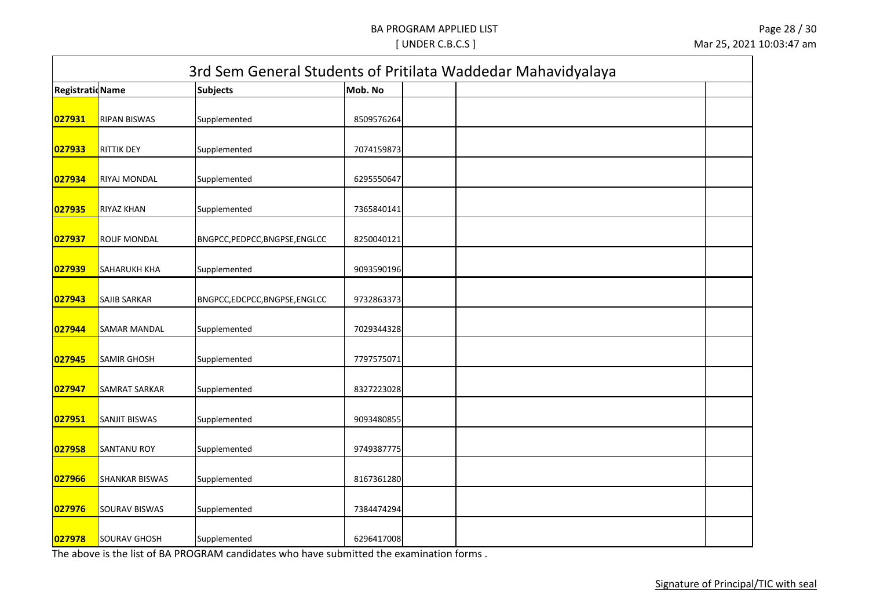| <b>Registratid Name</b> |                       | <b>Subjects</b>                | Mob. No    |  |
|-------------------------|-----------------------|--------------------------------|------------|--|
| 027931                  | <b>RIPAN BISWAS</b>   | Supplemented                   | 8509576264 |  |
| 027933                  | RITTIK DEY            | Supplemented                   | 7074159873 |  |
| 027934                  | RIYAJ MONDAL          | Supplemented                   | 6295550647 |  |
| 027935                  | <b>RIYAZ KHAN</b>     | Supplemented                   | 7365840141 |  |
| 027937                  | <b>ROUF MONDAL</b>    | BNGPCC, PEDPCC, BNGPSE, ENGLCC | 8250040121 |  |
| 027939                  | SAHARUKH KHA          | Supplemented                   | 9093590196 |  |
| 027943                  | <b>SAJIB SARKAR</b>   | BNGPCC,EDCPCC,BNGPSE,ENGLCC    | 9732863373 |  |
| 027944                  | <b>SAMAR MANDAL</b>   | Supplemented                   | 7029344328 |  |
| 027945                  | <b>SAMIR GHOSH</b>    | Supplemented                   | 7797575071 |  |
| 027947                  | SAMRAT SARKAR         | Supplemented                   | 8327223028 |  |
| 027951                  | SANJIT BISWAS         | Supplemented                   | 9093480855 |  |
| 027958                  | <b>SANTANU ROY</b>    | Supplemented                   | 9749387775 |  |
| 027966                  | <b>SHANKAR BISWAS</b> | Supplemented                   | 8167361280 |  |
| 027976                  | <b>SOURAV BISWAS</b>  | Supplemented                   | 7384474294 |  |
| 027978                  | <b>SOURAV GHOSH</b>   | Supplemented                   | 6296417008 |  |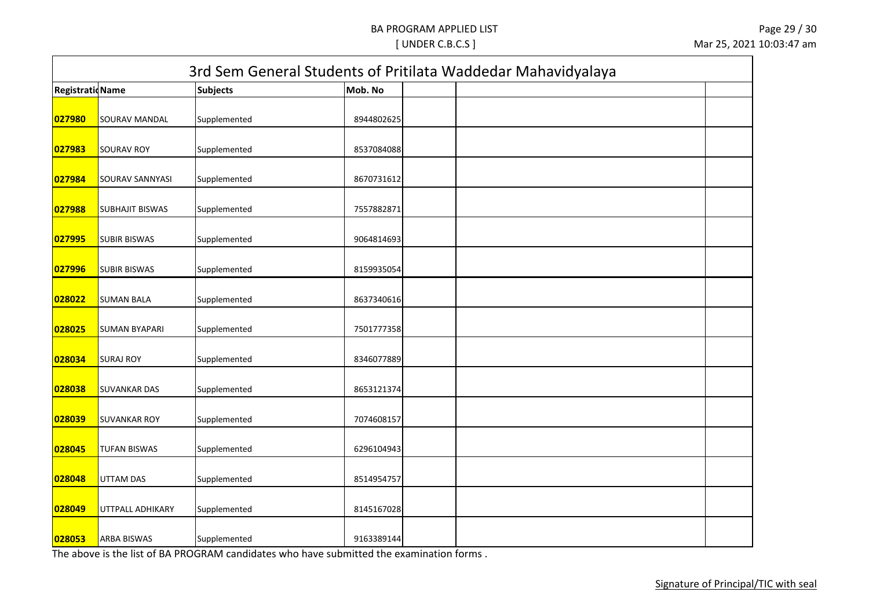|                         |                        |                 |            | 3rd Sem General Students of Pritilata Waddedar Mahavidyalaya |  |
|-------------------------|------------------------|-----------------|------------|--------------------------------------------------------------|--|
| <b>Registratid Name</b> |                        | <b>Subjects</b> | Mob. No    |                                                              |  |
| 027980                  | SOURAV MANDAL          | Supplemented    | 8944802625 |                                                              |  |
| 027983                  | <b>SOURAV ROY</b>      | Supplemented    | 8537084088 |                                                              |  |
| 027984                  | SOURAV SANNYASI        | Supplemented    | 8670731612 |                                                              |  |
| 027988                  | <b>SUBHAJIT BISWAS</b> | Supplemented    | 7557882871 |                                                              |  |
| 027995                  | <b>SUBIR BISWAS</b>    | Supplemented    | 9064814693 |                                                              |  |
| 027996                  | <b>SUBIR BISWAS</b>    | Supplemented    | 8159935054 |                                                              |  |
| 028022                  | <b>SUMAN BALA</b>      | Supplemented    | 8637340616 |                                                              |  |
| 028025                  | <b>SUMAN BYAPARI</b>   | Supplemented    | 7501777358 |                                                              |  |
| 028034                  | <b>SURAJ ROY</b>       | Supplemented    | 8346077889 |                                                              |  |
| 028038                  | <b>SUVANKAR DAS</b>    | Supplemented    | 8653121374 |                                                              |  |
| 028039                  | <b>SUVANKAR ROY</b>    | Supplemented    | 7074608157 |                                                              |  |
| 028045                  | <b>TUFAN BISWAS</b>    | Supplemented    | 6296104943 |                                                              |  |
| 028048                  | UTTAM DAS              | Supplemented    | 8514954757 |                                                              |  |
| 028049                  | UTTPALL ADHIKARY       | Supplemented    | 8145167028 |                                                              |  |
| 028053                  | <b>ARBA BISWAS</b>     | Supplemented    | 9163389144 |                                                              |  |